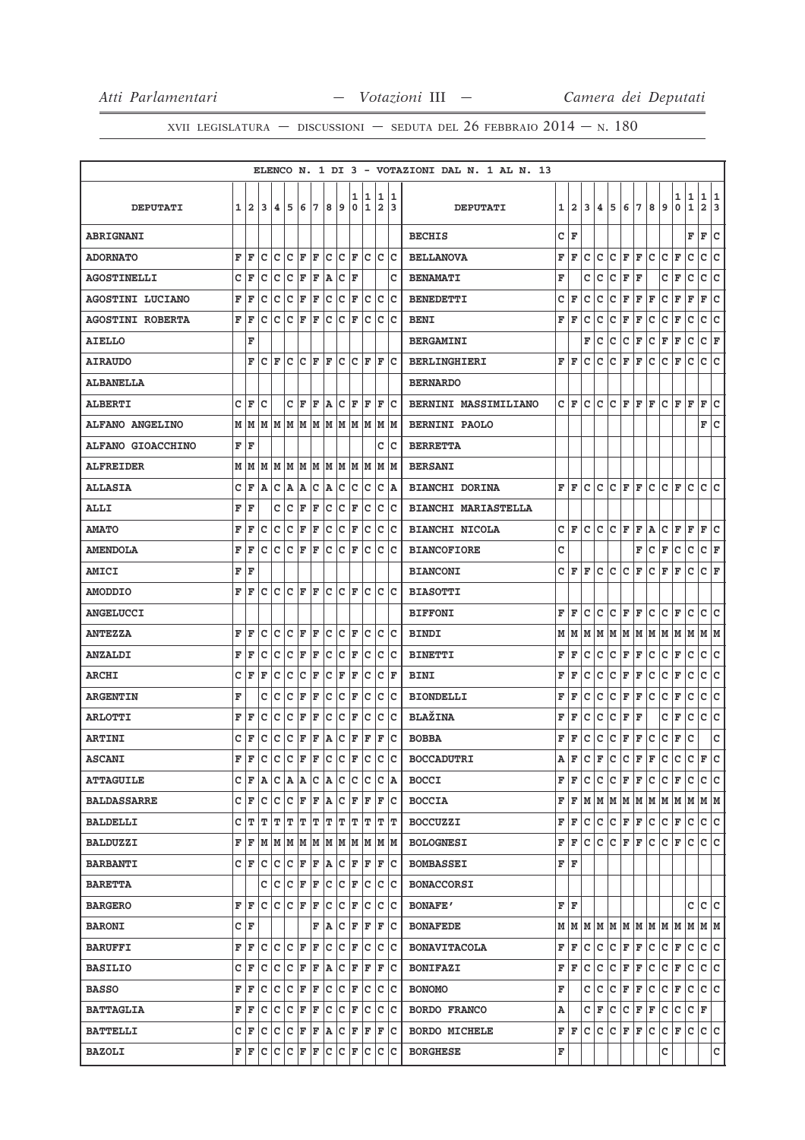|                          |   |                |    |                           |                                     |     |     |           |       |        |         |        |          | ELENCO N. 1 DI 3 - VOTAZIONI DAL N. 1 AL N. 13 |       |                |   |   |     |           |     |     |                                                           |              |              |                     |         |
|--------------------------|---|----------------|----|---------------------------|-------------------------------------|-----|-----|-----------|-------|--------|---------|--------|----------|------------------------------------------------|-------|----------------|---|---|-----|-----------|-----|-----|-----------------------------------------------------------|--------------|--------------|---------------------|---------|
| <b>DEPUTATI</b>          | 1 | $\overline{a}$ | 3  | 4                         | 5                                   | 6   | 7   | 8         | 9     | 1<br>0 | 11<br>1 | 1<br>2 | 11<br>13 | <b>DEPUTATI</b>                                | 1     | $\overline{a}$ | 3 | 4 | 5   | 6         | 7   | 8   | 9                                                         | 1<br>0       | 1<br>1       | 1<br>$\overline{a}$ | 11<br>3 |
| <b>ABRIGNANI</b>         |   |                |    |                           |                                     |     |     |           |       |        |         |        |          | <b>BECHIS</b>                                  | c     | ΙF             |   |   |     |           |     |     |                                                           |              | F            | F                   | c       |
| <b>ADORNATO</b>          | F | F              | C  | lc                        | lc                                  | F   | ΙF  | c         | lc.   | l F    | lc      | c      | lc       | <b>BELLANOVA</b>                               | F     | F              | C | C | C   | F         | F   | c   | C                                                         | $\mathbf{F}$ | C            | c                   | c       |
| <b>AGOSTINELLI</b>       | c | ΙF             | c  | Iс                        | Iс                                  | F   | F   | A         | c     | ΙF     |         |        | c        | <b>BENAMATI</b>                                | F     |                | c | c | c   | F         | F   |     | c                                                         | F            | c            | c                   | c       |
| <b>AGOSTINI LUCIANO</b>  | F | ΙF             | C  | Iс                        | lc                                  | F   | F   | c         | c     | F      | c       | c      | lc       | <b>BENEDETTI</b>                               | c     | F              | c | с | с   | F         | F   | F   | c                                                         | F            | F            | F                   | c       |
| <b>AGOSTINI ROBERTA</b>  | F | l F            | c  | Iс                        | lc                                  | F   | F   | c         | c     | F      | c       | с      | Ιc       | <b>BENI</b>                                    | F     | F              | c | c | c   | F         | F   | c   | c                                                         | F            | c            | c                   | c       |
| <b>AIELLO</b>            |   | F              |    |                           |                                     |     |     |           |       |        |         |        |          | <b>BERGAMINI</b>                               |       |                | F | с | с   | с         | F   | с   | F                                                         | F            | с            | с                   | F       |
| <b>AIRAUDO</b>           |   | F              | с  | F                         | c                                   | c   | ΙF  | F         | c     | c      | F       | F      | lc       | <b>BERLINGHIERI</b>                            | F     | l F            | с | с | c   | F         | F   | с   | с                                                         | F            | с            | с                   | c       |
| <b>ALBANELLA</b>         |   |                |    |                           |                                     |     |     |           |       |        |         |        |          | <b>BERNARDO</b>                                |       |                |   |   |     |           |     |     |                                                           |              |              |                     |         |
| <b>ALBERTI</b>           | c | l F            | c  |                           | c                                   | F   | ΙF  | A         | Iс    | F      | F       | F      | Ιc       | BERNINI MASSIMILIANO                           | c     | F              | C | c | c   | F         | F   | F   | c                                                         | F            | ΙF           | F                   | c       |
| <b>ALFANO ANGELINO</b>   |   | MMMMMMM        |    |                           |                                     |     |     | M   M   M |       | M      | lм      | lм     | lм       | <b>BERNINI PAOLO</b>                           |       |                |   |   |     |           |     |     |                                                           |              |              | F                   | lc.     |
| <b>ALFANO GIOACCHINO</b> | F | ΙF             |    |                           |                                     |     |     |           |       |        |         | c      | Iс       | <b>BERRETTA</b>                                |       |                |   |   |     |           |     |     |                                                           |              |              |                     |         |
| <b>ALFREIDER</b>         |   | МИ             | M  |                           | IM IM IM IM IM                      |     |     |           |       |        | M M     | M      | lМ       | <b>BERSANI</b>                                 |       |                |   |   |     |           |     |     |                                                           |              |              |                     |         |
| <b>ALLASIA</b>           | c | F              | ١A | C  A                      |                                     | ΙA. | c   | A C       |       | Iс     | Iс      | с      | ١A       | <b>BIANCHI DORINA</b>                          |       | FF             | c | c | Iс  | F         | lF. | с   | c                                                         | F            | с            | C C                 |         |
| <b>ALLI</b>              | F | ΙF             |    | c                         | c                                   | F   | ΙF  | C         | c     | ΙF     | c       | c      | Ιc       | <b>BIANCHI MARIASTELLA</b>                     |       |                |   |   |     |           |     |     |                                                           |              |              |                     |         |
| <b>AMATO</b>             | F | F              | c  | lc.                       | lc                                  | F   | F   | lc        | lc.   | ΙF     | Ιc      | c      | lc       | <b>BIANCHI NICOLA</b>                          | c     | F              | c | c | lc. | F         | F   | A   | c                                                         | F            | F            | F                   | lc.     |
| <b>AMENDOLA</b>          | F | F              | c  | Iс                        | Ιc                                  | F   | lF. | Ιc        | Iс    | F      | Iс      | c      | Ιc       | <b>BIANCOFIORE</b>                             | c     |                |   |   |     |           | F   | с   | F                                                         | с            | $\mathbf C$  | C F                 |         |
| <b>AMICI</b>             | F | ١F             |    |                           |                                     |     |     |           |       |        |         |        |          | <b>BIANCONI</b>                                | c     | F              | F | c | c   | c         | F   | c   | F                                                         | F            | c            | c                   | ΙF      |
| <b>AMODDIO</b>           | F | F              | c  |                           | $ C C $ $\mathbf{F}$ $ \mathbf{F} $ |     |     |           | lc lc | l F    | lc      | c      | lc       | <b>BIASOTTI</b>                                |       |                |   |   |     |           |     |     |                                                           |              |              |                     |         |
| <b>ANGELUCCI</b>         |   |                |    |                           |                                     |     |     |           |       |        |         |        |          | <b>BIFFONI</b>                                 | F     | F              | c | c | с   | F         | F   | c   | c                                                         | F            | с            | с                   | с       |
| <b>ANTEZZA</b>           | F | ΙF             | c  | Iс                        | lc                                  | F   | lF. | c         | Iс    | F      | Iс      | c      | lc       | <b>BINDI</b>                                   | м     | M              | M | M | M   | M         | M   | M M |                                                           | MM           |              | M  M                |         |
| <b>ANZALDI</b>           | F | ΙF             | C  | Iс                        | C                                   | F   | F   | c         | c     | F      | c       | с      | Ιc       | <b>BINETTI</b>                                 | F     | F              | c | с | с   | F         | F   | с   | с                                                         | F            | c            | c                   | c       |
| <b>ARCHI</b>             | c | İF             | ΙF | lc.                       | c                                   | lc  | F   | C         | F     | l F    | Ιc      | c      | ΙF       | <b>BINI</b>                                    | F     | F              | C | c | C   | F         | F   | c   | C                                                         | F            | $\mathtt{C}$ | c                   | lc.     |
| <b>ARGENTIN</b>          | F |                | с  | Iс                        | Iс                                  | F   | F   | c         | Iс    | F      | c       | с      | Iс       | <b>BIONDELLI</b>                               | F     | F              | c | с | с   | F         | F   | с   | c                                                         | F            | c            | c                   | c       |
| <b>ARLOTTI</b>           | F | l F            | c  | Ιc                        | c                                   | F   | F   | с         | c     | F      | c       | c      | Ιc       | <b>BLAŽINA</b>                                 | F     | F              | c | c | c   | F         | F   |     | c                                                         | F            | c            | c                   | lc.     |
| <b>ARTINI</b>            | c | İF             | c  | Iс                        | Ιc                                  | F   | F   | A         | c     | F      | F       | F      | lc       | <b>BOBBA</b>                                   | F     | F              | c | с | с   | F         | F   | c   | c                                                         | F            | c            |                     | c       |
| <b>ASCANI</b>            | F | ΙF             | c  | Iс                        | Ιc                                  | lF. | ΙF  | Ιc        | Iс    | F      | c       | c      | lc.      | <b>BOCCADUTRI</b>                              | Α     | F              | с | F | c   | с         | F   | F   | с                                                         | с            | с            | F                   | c       |
| <b>ATTAGUILE</b>         | c | F              | ΙA | c                         | A A C                               |     |     | A C       |       | Iс     | Iс      | с      | ۱A       | <b>BOCCI</b>                                   | F     | F              | с | с | c   | F         | F   | с   | с                                                         | F            | c            | C C                 |         |
| <b>BALDASSARRE</b>       |   | C F            | c  | Iс                        | c                                   | F   | ΙF  | A         | c     | F      | F       | F      | Iс       | <b>BOCCIA</b>                                  | F     | F              | M | M |     | M M M M M |     |     |                                                           | M            | M            | M M                 |         |
| <b>BALDELLI</b>          | c | Iт             | т  | т                         | т                                   | т   | т   | Т         | ΙT    | т      | т       | т      | ΙT       | <b>BOCCUZZI</b>                                | F     | F              | c | c | c   | F F       |     | c   | c                                                         | F            | c            | c c                 |         |
| <b>BALDUZZI</b>          | F | F              |    | M  M  M  M  M  M  M  M  M |                                     |     |     |           |       |        |         |        | M M      | <b>BOLOGNESI</b>                               | F     | F              | с | c | c.  | F F       |     | c.  | c                                                         | F            | c            | c c                 |         |
| <b>BARBANTI</b>          |   | CF             | c  | Iс                        | ∣c                                  | F   | F   | A         | c     | F      | F       | F      | Iс       | <b>BOMBASSEI</b>                               | FF    |                |   |   |     |           |     |     |                                                           |              |              |                     |         |
| <b>BARETTA</b>           |   |                | с  | с                         | C F F                               |     |     |           | c c   | F      | Iс      | c      | Ιc       | <b>BONACCORSI</b>                              |       |                |   |   |     |           |     |     |                                                           |              |              |                     |         |
| <b>BARGERO</b>           | F | ١F             | c  | с                         | Ιc                                  | F   | F   | с         | c     | F      | c       | с      | Iс       | <b>BONAFE'</b>                                 | F   F |                |   |   |     |           |     |     |                                                           |              | c            | с                   | lc.     |
| <b>BARONI</b>            |   | CF             |    |                           |                                     |     | F   | ΙA.       | Iс    | F      | F       | F      | Iс       | <b>BONAFEDE</b>                                |       |                |   |   |     |           |     |     | $M$   $M$   $M$   $M$   $M$   $M$   $M$   $M$   $M$   $M$ |              |              | MM                  |         |
| <b>BARUFFI</b>           | F | ΙF             | c  | lc.                       | lc                                  | F   | ΙF  | c         | lc.   | F      | Ιc      | c      | Iс       | <b>BONAVITACOLA</b>                            | F     | F              | c | c | c   | F F       |     | c   | c                                                         | F            | c            | c c                 |         |
| <b>BASILIO</b>           |   | CF             | c  | Iс                        | Iс                                  | F   | F   | ١A        | c     | F      | F       | F      | Iс       | <b>BONIFAZI</b>                                | F     | F              | с | c | c   | F         | F   | c   | с                                                         | F            | с            | c                   | lc.     |
| <b>BASSO</b>             | F | F              | c  | c                         | ∣c                                  | F   | F   | c         | c     | F      | Iс      | c      | Ιc       | <b>BONOMO</b>                                  | F     |                | c | c | c   | F         | F   | c.  | c                                                         | F            | c            | c c                 |         |
| <b>BATTAGLIA</b>         | F | ΙF             | с  | Iс                        | c                                   | F   | F   | c         | Iс    | F      | c       | с      | ΙC       | <b>BORDO FRANCO</b>                            | Α     |                | c | F | c   | c         | F   | F   | с                                                         | с            | с            | F                   |         |
| <b>BATTELLI</b>          |   | CF             |    | C C C F F                 |                                     |     |     | A C       |       |        | F F     | F      | ∣c       | <b>BORDO MICHELE</b>                           |       | FF             | c | c | c   | F         | F   | с   | c                                                         | F            | c            | c c                 |         |
| <b>BAZOLI</b>            |   | FF             | Iс | c                         | $ C $ F                             |     | F   | c         | c     | F      | Iс      | c      | Iс       | <b>BORGHESE</b>                                | F     |                |   |   |     |           |     |     | с                                                         |              |              |                     | c       |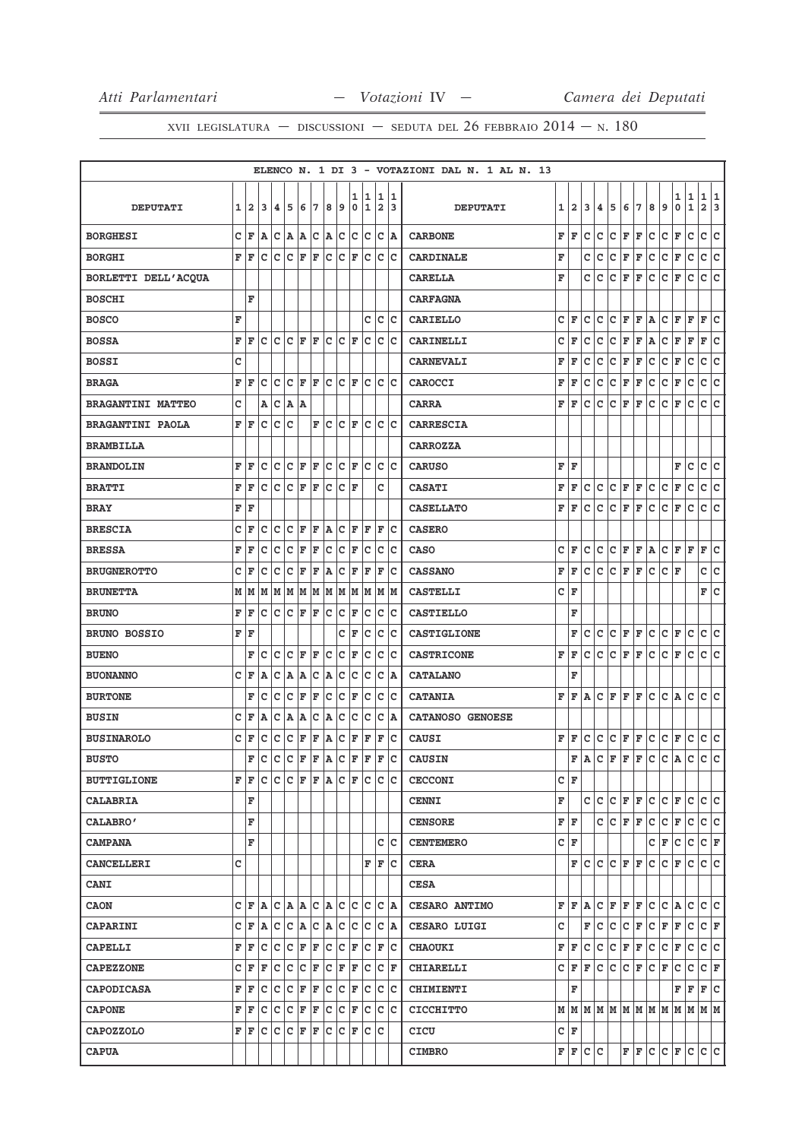|                          |   |              |     |    |              |     |     |              |     |                  |                   |              |        | ELENCO N. 1 DI 3 - VOTAZIONI DAL N. 1 AL N. 13 |     |                |     |   |     |             |   |     |              |        |                  |                              |         |
|--------------------------|---|--------------|-----|----|--------------|-----|-----|--------------|-----|------------------|-------------------|--------------|--------|------------------------------------------------|-----|----------------|-----|---|-----|-------------|---|-----|--------------|--------|------------------|------------------------------|---------|
| <b>DEPUTATI</b>          | 1 | $\mathbf{2}$ | 3   | 4  | 5            | 6   | 7   | 8            | 9   | 1<br>$\mathbf 0$ | 11<br>$\mathbf 1$ | 1<br>2       | 1<br>3 | <b>DEPUTATI</b>                                | 1   | $\overline{a}$ | 3   | 4 | 5   | 6           | 7 | 8   | 9            | 1<br>0 | 1<br>$\mathbf 1$ | 1<br>$\overline{\mathbf{2}}$ | 11<br>3 |
| <b>BORGHESI</b>          | C | F            | A   | c  | ۱A.          | A   | ∣c  | A            | c   | lc.              | lc.               | lc.          | A      | <b>CARBONE</b>                                 | F   | l F            | c   | c | c   | F           | F | c   | c            | F      | c                | c                            | c       |
| <b>BORGHI</b>            | F | F            | c   | c  | c            | F   | F   | C            | c   | F                | lc                | lc.          | Ιc     | <b>CARDINALE</b>                               | F   |                | c   | с | c   | F           | F | C   | C            | F      | $\mathtt{C}$     | c                            | c       |
| BORLETTI DELL'ACQUA      |   |              |     |    |              |     |     |              |     |                  |                   |              |        | <b>CARELLA</b>                                 | F   |                | C   | C | c   | F           | F | с   | c            | F      | c                | c                            | c       |
| <b>BOSCHI</b>            |   | F            |     |    |              |     |     |              |     |                  |                   |              |        | <b>CARFAGNA</b>                                |     |                |     |   |     |             |   |     |              |        |                  |                              |         |
| <b>BOSCO</b>             | F |              |     |    |              |     |     |              |     |                  | с                 | c            | Iс     | <b>CARIELLO</b>                                | c   | F              | c   | c | c   | F           | F | A   | с            | F      | F                | F                            | c       |
| <b>BOSSA</b>             | F | F            | c   | c  | lc.          | F   | ΙF  | lc.          | lc. | ΙF               | c                 | $\mathtt{C}$ | Ιc     | <b>CARINELLI</b>                               | с   | F              | c   | c | с   | F           | F | A   | с            | F      | F                | F                            | ∣c      |
| <b>BOSSI</b>             | C |              |     |    |              |     |     |              |     |                  |                   |              |        | <b>CARNEVALI</b>                               | F   | F              | c   | с | с   | F           | F | с   | с            | F      | с                | С                            | c       |
| <b>BRAGA</b>             | F | F            | C   | c  | $\mathbf{C}$ | F   | l F | $\mathtt{C}$ | c   | F                | c                 | c            | lc     | CAROCCI                                        | F   | F              | C   | c | c   | $\mathbf F$ | F | c   | C            | F      | C                | c                            | c       |
| <b>BRAGANTINI MATTEO</b> | c |              | Α   | c  | A            | lA. |     |              |     |                  |                   |              |        | <b>CARRA</b>                                   | F   | F              | c   | c | c   | F           | F | с   | c            | F      | c                | c                            | lc.     |
| <b>BRAGANTINI PAOLA</b>  | F | F            | C   | c  | C            |     | F   | c            | C   | F                | c                 | c            | c      | <b>CARRESCIA</b>                               |     |                |     |   |     |             |   |     |              |        |                  |                              |         |
| <b>BRAMBILLA</b>         |   |              |     |    |              |     |     |              |     |                  |                   |              |        | <b>CARROZZA</b>                                |     |                |     |   |     |             |   |     |              |        |                  |                              |         |
| <b>BRANDOLIN</b>         | F | F            | c   | c  | c            | F   | F   | c            | Iс  | F                | c                 | c            | Ιc     | <b>CARUSO</b>                                  | F   | ΙF             |     |   |     |             |   |     |              | F      | с                | с                            | c       |
| <b>BRATTI</b>            | F | F            | c   | lc | c            | F   | F   | c            | c   | ΙF               |                   | c            |        | <b>CASATI</b>                                  | F   | F              | c   | c | c   | F           | F | c   | C            | F      | c                | с                            | c       |
| <b>BRAY</b>              | F | F            |     |    |              |     |     |              |     |                  |                   |              |        | <b>CASELLATO</b>                               | F   | F              | c   | c | с   | F           | F | c   | c            | F      | с                | c                            | c       |
| <b>BRESCIA</b>           | C | F            | C   | C  | C            | F   | F   | A            | lc  | F                | F                 | F            | lc     | <b>CASERO</b>                                  |     |                |     |   |     |             |   |     |              |        |                  |                              |         |
| <b>BRESSA</b>            | F | F            | c   | c  | c            | F   | F   | c            | c   | F                | c                 | c            | Ιc     | <b>CASO</b>                                    | с   | F              | c   | c | lc. | F           | F | A   | c            | F      | F                | F                            | lc.     |
| <b>BRUGNEROTTO</b>       | c | F            | C   | c  | C            | F   | F   | A            | C   | F                | F                 | F            | c      | <b>CASSANO</b>                                 | F   | F              | c   | c | c   | F           | F | с   | c            | F      |                  | c                            | ∣c      |
| <b>BRUNETTA</b>          | М | M            | M   | M  | M            | M   | M   | M            | M   | M                | M                 | М            | M      | <b>CASTELLI</b>                                | c   | F              |     |   |     |             |   |     |              |        |                  | F C                          |         |
| <b>BRUNO</b>             | F | F            | c   | c  | c            | F   | F   | c            | c   | F                | c                 | c            | c      | <b>CASTIELLO</b>                               |     | F              |     |   |     |             |   |     |              |        |                  |                              |         |
| <b>BRUNO BOSSIO</b>      | F | F            |     |    |              |     |     |              | c   | F                | c                 | C            | Ιc     | CASTIGLIONE                                    |     | F              | c   | c | c   | F           | F | c   | c            | F      | C                | c                            | c       |
| <b>BUENO</b>             |   | F            | C   | C  | C            | F   | F   | C            | C   | F                | C                 | C            | lc     | <b>CASTRICONE</b>                              | F   | F              | C   | C | c   | F           | F | c   | $\mathtt{C}$ | F      | $\mathtt{C}$     | c                            | c       |
| <b>BUONANNO</b>          | C | F            | Α   | c  | A            | A   | C   | A            | C   | C                | c                 | c            | lA.    | <b>CATALANO</b>                                |     | F              |     |   |     |             |   |     |              |        |                  |                              |         |
| <b>BURTONE</b>           |   | F            | с   | c  | c            | F   | F   | C            | c   | F                | c                 | c            | Ιc     | <b>CATANIA</b>                                 | F   | F              | A   | c | F   | F           | F | c   | c            | A      | c                | c                            | lc      |
| <b>BUSIN</b>             | c | F            | Α   | c  | A            | Α   | c   | A            | c   | c                | c                 | c            | lA.    | <b>CATANOSO GENOESE</b>                        |     |                |     |   |     |             |   |     |              |        |                  |                              |         |
| <b>BUSINAROLO</b>        | c | F            | c   | c  | c            | F   | F   | A            | c   | F                | F                 | F            | Ιc     | <b>CAUSI</b>                                   | F   | F              | c   | c | c   | F           | F | c   | c            | F      | c                | c                            | c       |
| <b>BUSTO</b>             |   | F            | c   | Iс | c            | F   | ΙF  | lA.          | c   | ΙF               | F                 | ΙF           | c      | <b>CAUSIN</b>                                  |     | F              | ۱A. | c | F   | lF.         | F | c   | c            | A      | C                | c                            | lc.     |
| <b>BUTTIGLIONE</b>       | F | F            | c   | c  | c            | F   | lF. | A            | c   | ΙF               | lc.               | c            | Ιc     | <b>CECCONI</b>                                 | СF  |                |     |   |     |             |   |     |              |        |                  |                              |         |
| <b>CALABRIA</b>          |   | F            |     |    |              |     |     |              |     |                  |                   |              |        | <b>CENNI</b>                                   | F   |                | c   | c | c   | F F         |   | c   | c            | F      | c                | c c                          |         |
| CALABRO'                 |   | F            |     |    |              |     |     |              |     |                  |                   |              |        | <b>CENSORE</b>                                 | F F |                |     | c | c.  | F F         |   | c.  | c            | F      | c                | c c                          |         |
| <b>CAMPANA</b>           |   | F            |     |    |              |     |     |              |     |                  |                   | c            | lc     | <b>CENTEMERO</b>                               | C F |                |     |   |     |             |   | c   | F            | c      | c                | C F                          |         |
| <b>CANCELLERI</b>        | C |              |     |    |              |     |     |              |     |                  | F                 | F            | Ιc     | <b>CERA</b>                                    |     | F              | c   | c | c   | F F         |   | c   | с            | F      | с                | c c                          |         |
| <b>CANI</b>              |   |              |     |    |              |     |     |              |     |                  |                   |              |        | <b>CESA</b>                                    |     |                |     |   |     |             |   |     |              |        |                  |                              |         |
| <b>CAON</b>              | c | F            | lA. | c  | A            | A   | c   | A            | Iс  | c                | c                 | c            | A      | CESARO ANTIMO                                  | F   | ΙF             | A   | с | F   | F F         |   | c   | c            | A      | c                | c c                          |         |
| <b>CAPARINI</b>          | C | F            | A   | c  | c            | A   | ∣c  | A            | c   | c                | c                 | C            | A      | <b>CESARO LUIGI</b>                            | c   |                | F   | c | c   | c           | F | c   | F            | F      | c                | C F                          |         |
| <b>CAPELLI</b>           | F | F            | с   | c  | c            | F   | F   | C            | lc  | F                | c                 | F            | Ιc     | <b>CHAOUKI</b>                                 | F   | F              | c   | c | c   | F           | F | c   | c            | F      | c                | c  c                         |         |
| <b>CAPEZZONE</b>         | c | F            | F   | c  | c            | c   | F   | c            | ΙF  | F                | c                 | c            | F      | <b>CHIARELLI</b>                               | c   | lF.            | lF. | c | lc. | c           | F | lc. | F            | c      | c                | CF                           |         |
| <b>CAPODICASA</b>        | F | F            | c   | c  | c            | F   | F   | c            | c   | F                | с                 | c            | Iс     | <b>CHIMIENTI</b>                               |     | F              |     |   |     |             |   |     |              | F      | F                | F C                          |         |
| <b>CAPONE</b>            | F | F            | c   | c  | c            | F   | F   | c            | с   | ΙF               | c                 | c            | lc     | <b>CICCHITTO</b>                               |     |                |     |   |     |             |   |     |              |        |                  |                              |         |
| <b>CAPOZZOLO</b>         | F | F            | c   | Iс | c            | F   | F   | c            | c   | F                | c                 | Iс           |        | CICU                                           |     | C F            |     |   |     |             |   |     |              |        |                  |                              |         |
| <b>CAPUA</b>             |   |              |     |    |              |     |     |              |     |                  |                   |              |        | <b>CIMBRO</b>                                  |     | F F C C        |     |   |     | F F         |   |     | C C F C      |        |                  | c c                          |         |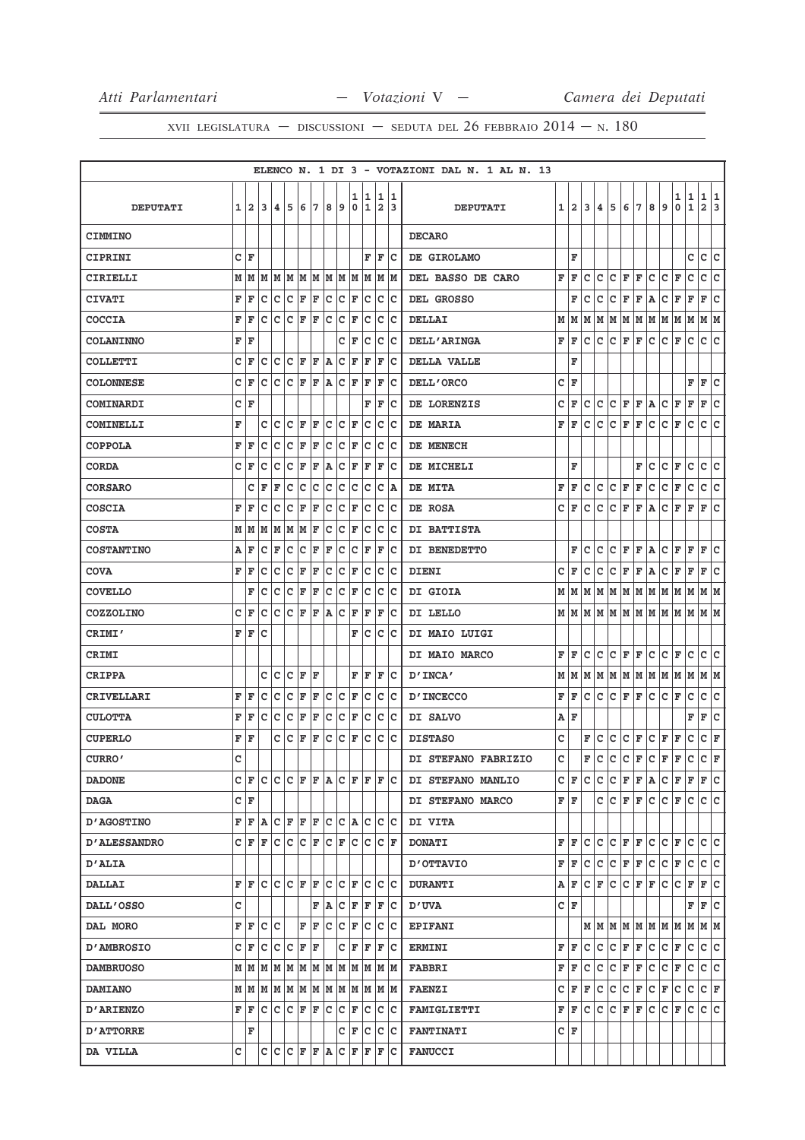|                     |   |                                   |     |     |                     |   |                         |       |                         |        |                                             |                              |        |                     | ELENCO N. 1 DI 3 - VOTAZIONI DAL N. 1 AL N. 13 |     |                         |     |             |    |             |   |     |                                         |        |                            |                  |        |
|---------------------|---|-----------------------------------|-----|-----|---------------------|---|-------------------------|-------|-------------------------|--------|---------------------------------------------|------------------------------|--------|---------------------|------------------------------------------------|-----|-------------------------|-----|-------------|----|-------------|---|-----|-----------------------------------------|--------|----------------------------|------------------|--------|
| <b>DEPUTATI</b>     | 1 | $\overline{2}$                    | 3   | 4   | 5                   | 6 | 7                       | 8     | 9                       | 1<br>0 | 1<br>1                                      | 1<br>$\overline{\mathbf{2}}$ | 1<br>3 |                     | <b>DEPUTATI</b>                                | 1   | $\overline{\mathbf{2}}$ | 3   | 4           | 5  | 6           | 7 | 8   | 9                                       | 1<br>0 | $\mathbf 1$<br>$\mathbf 1$ | 1<br>$\mathbf 2$ | 1<br>3 |
| <b>CIMMINO</b>      |   |                                   |     |     |                     |   |                         |       |                         |        |                                             |                              |        | <b>DECARO</b>       |                                                |     |                         |     |             |    |             |   |     |                                         |        |                            |                  |        |
| <b>CIPRINI</b>      | с | F                                 |     |     |                     |   |                         |       |                         |        | F                                           | F                            | Ιc     | DE GIROLAMO         |                                                |     | F                       |     |             |    |             |   |     |                                         |        | c                          | c                | c      |
| CIRIELLI            | М | M                                 | M   |     | M M                 |   | M M                     |       |                         |        | M  M  M  M                                  |                              | M   M  | DEL BASSO DE CARO   |                                                | F   | F                       | с   | с           | c  | F           | F | c   | c                                       | F      | c                          | c                | c      |
| <b>CIVATI</b>       | F | F                                 | с   | c   | c                   | F | F                       | с     | c                       | F      | c                                           |                              | c c    | DEL GROSSO          |                                                |     | F                       | c   | c           | с  | F           | F | Α   | c                                       | F      | F                          | F                | C      |
| COCCIA              | F | F                                 | c   | c   | с                   | F | F                       | с     | с                       | F      | с                                           | с                            | c      | DELLAI              |                                                | М   | M                       | M   | M           | M  | М           | M | М   | M                                       | M      | М                          | М                | M      |
| <b>COLANINNO</b>    | F | F                                 |     |     |                     |   |                         |       | c                       | F      | с                                           | с                            | Ιc     | <b>DELL'ARINGA</b>  |                                                | F   | F                       | c   | c           | c  | F           | F | с   | c                                       | F      | c                          | c                | lc.    |
| COLLETTI            | c | F                                 | с   | c   | с                   | F | F                       | ۱A    | c                       | F      | F                                           | F                            | c      | DELLA VALLE         |                                                |     | F                       |     |             |    |             |   |     |                                         |        |                            |                  |        |
| <b>COLONNESE</b>    | c | F                                 | с   | с   | с                   | F | F                       | A     |                         | C F    | F                                           | F                            | Ιc     | DELL'ORCO           |                                                | c   | ΙF                      |     |             |    |             |   |     |                                         |        | F                          | F                | c      |
| COMINARDI           | с | F                                 |     |     |                     |   |                         |       |                         |        | F                                           | F                            | c      | DE LORENZIS         |                                                | c   | F                       | c   | с           | c  | F           | F | Α   | с                                       | F      | F                          | F                | c      |
| COMINELLI           | F |                                   | с   | c   | c                   | F | F                       | c     | c                       | F      | c                                           | c                            | lc     | DE MARIA            |                                                | F   | F                       | c   | c           | c  | F           | F | c   | c                                       | F      | c                          | C                | c      |
| <b>COPPOLA</b>      | F | F                                 | c   | c   | c                   | F | F                       | C     | c                       | F      | c                                           |                              | c c    | DE MENECH           |                                                |     |                         |     |             |    |             |   |     |                                         |        |                            |                  |        |
| <b>CORDA</b>        | C | F                                 | с   | с   | с                   | F | F                       | A     | с                       | F      | F                                           | F                            | ΙC     | DE MICHELI          |                                                |     | F                       |     |             |    |             | F | c   | c                                       | F      | C                          | c                | c      |
| <b>CORSARO</b>      |   | с                                 | F   | F   | с                   | с | с                       | с     | с                       | с      | с                                           |                              | C A    | DE MITA             |                                                | F   | F                       | c   | с           | c  | F           | F | с   | c                                       | F      | c                          | c                | lc.    |
| <b>COSCIA</b>       | F | F                                 | с   | с   | с                   | F | F                       | с     | с                       | F      | с                                           |                              | C C    | DE ROSA             |                                                | c   | F                       | c   | c           | с  | F           | F | Α   | с                                       | F      | F                          | F                | c      |
| <b>COSTA</b>        | М | M                                 | M   | М   | М                   | М | F                       | с     | с                       | F      | с                                           |                              | C C    | DI BATTISTA         |                                                |     |                         |     |             |    |             |   |     |                                         |        |                            |                  |        |
| <b>COSTANTINO</b>   | A | F                                 | с   | F   | с                   | с | F                       | F     | с                       | с      | F                                           | F                            | c      | DI BENEDETTO        |                                                |     | F                       | c   | c           | c  | F           | F | Α   | c                                       | F      | F                          | F                | c      |
| <b>COVA</b>         | F | F                                 | с   | с   | c                   | F | F                       | c     | c                       | F      | c                                           | c                            | Ιc     | <b>DIENI</b>        |                                                | c   | F                       | c   | c           | c  | $\mathbf F$ | F | Α   | c                                       | F      | $\mathbf F$                | F                | c      |
| <b>COVELLO</b>      |   | F                                 | с   | c   | c                   | F | F                       | c     | c                       | F      | c                                           | c                            | c      | DI GIOIA            |                                                | М   | lМ                      | M   | M           | lм | M M         |   | M M |                                         | M      | M                          | M M              |        |
| <b>COZZOLINO</b>    | с | F                                 | c   | c   | с                   | F | F                       | ١A    | с                       | F      | F                                           | F                            | Ιc     | DI LELLO            |                                                |     | м∣м                     | M   | M           | M  | М           | M | M   | lм                                      | M      | M                          | M M              |        |
| CRIMI'              | F | F                                 | c   |     |                     |   |                         |       |                         | F      | c                                           |                              | c c    | DI MAIO LUIGI       |                                                |     |                         |     |             |    |             |   |     |                                         |        |                            |                  |        |
| CRIMI               |   |                                   |     |     |                     |   |                         |       |                         |        |                                             |                              |        | DI MAIO MARCO       |                                                | F   | F                       | c   | c           | c  | F           | F | с   | с                                       | F      | с                          | с                | с      |
| <b>CRIPPA</b>       |   |                                   | с   | с   | с                   | F | F                       |       |                         | F      | F                                           |                              | F C    | D'INCA'             |                                                | М   | M                       | М   | M           | M  | M           | M | M   | M                                       | M      | М                          | MM               |        |
| CRIVELLARI          | F | F                                 | с   | с   | с                   | F | F                       | с     | с                       | F      | с                                           | с                            | Ιc     | <b>D'INCECCO</b>    |                                                | F   | F                       | c   | c           | c  | F           | F | c   | c                                       | F      | c                          | c                | c      |
| <b>CULOTTA</b>      | F | F                                 | с   | с   | c                   | F | F                       | c     | c                       | F      | c                                           |                              | c c    | DI SALVO            |                                                | А   | F                       |     |             |    |             |   |     |                                         |        | F                          | F                | C      |
| <b>CUPERLO</b>      | F | ΙF                                |     | c   | с                   | F | F                       | с     | c                       | F      | с                                           |                              | c c    | <b>DISTASO</b>      |                                                | c   |                         | F   | с           | c  | с           | F | с   | F                                       | F      | c                          | c                | F      |
| CURRO'              | C |                                   |     |     |                     |   |                         |       |                         |        |                                             |                              |        | DI STEFANO FABRIZIO |                                                | c   |                         | F   | c           | c  | с           | F | c   | F                                       | F      | c                          | c                | F      |
| <b>DADONE</b>       |   | C F                               |     |     |                     |   |                         |       |                         |        | C C C F F A C F F F C                       |                              |        | DI STEFANO MANLIO   |                                                |     | CF                      | c   | c           | c  | F           | F | A   | c                                       | F      | F                          | F C              |        |
| <b>DAGA</b>         |   | C F                               |     |     |                     |   |                         |       |                         |        |                                             |                              |        | DI STEFANO MARCO    |                                                | FIF |                         |     | c           | c  | F           | F | с   | c                                       | F      | с                          | c c              |        |
| <b>D'AGOSTINO</b>   | F |                                   | F A |     | $C$ $F$ $F$ $F$     |   |                         |       |                         |        | C C A C                                     |                              | C C    | DI VITA             |                                                |     |                         |     |             |    |             |   |     |                                         |        |                            |                  |        |
| <b>D'ALESSANDRO</b> |   | C F                               | F   | с   | c                   |   | $ {\tt C}\, {\tt F}\, $ |       |                         |        | $ {\tt C}\, {\tt F}\, {\tt C}\, {\tt C}\, $ |                              | C F    | <b>DONATI</b>       |                                                | F   | ΙF                      | c   | c           | c  | F           | F | c   | c                                       | F      | c                          | c                | lc.    |
| <b>D'ALIA</b>       |   |                                   |     |     |                     |   |                         |       |                         |        |                                             |                              |        | OTTAVIO             |                                                | F   | F                       | c   | c           | c  | F           | F | c   | c                                       | F      | $\mathtt{C}$               | c c              |        |
| <b>DALLAI</b>       | F | F                                 | c   |     | $C$ $C$ $F$ $F$     |   |                         |       |                         |        | C C F C                                     |                              | c c    | <b>DURANTI</b>      |                                                |     | AF                      | C F |             | c  | C F         |   | F   | lc.                                     | с      | $\mathbf F$                | F                | c      |
| <b>DALL'OSSO</b>    | C |                                   |     |     |                     |   |                         | F   A |                         |        | $C$ $F$ $F$ $F$ $C$                         |                              |        | <b>D'UVA</b>        |                                                |     | C F                     |     |             |    |             |   |     |                                         |        | F                          | F                | c      |
| DAL MORO            |   | $\mathbf{F} \parallel \mathbf{F}$ |     | c c |                     |   | FF                      |       | C C F                   |        |                                             |                              | c c c  | <b>EPIFANI</b>      |                                                |     |                         |     |             |    |             |   |     | $M$   $M$   $M$   $M$   $M$   $M$   $M$ |        |                            | MMM              |        |
| <b>D'AMBROSIO</b>   | c | F                                 | с   | с   | с                   | F | F                       |       |                         | СF     | F                                           |                              | F C    | <b>ERMINI</b>       |                                                | F   | F                       | c   | c           | с  | F           | F | c   | c                                       | F      | с                          | c                | c      |
| <b>DAMBRUOSO</b>    |   | МM                                | М   |     |                     |   |                         |       |                         |        | $M$ $M$ $M$ $M$ $M$ $M$ $M$ $M$ $M$ $M$     |                              |        | <b>FABBRI</b>       |                                                | F   | F                       | с   | c           | c  | $\mathbf F$ | F | c   | c                                       | F      | $\mathtt{C}$               | c.               | c      |
| <b>DAMIANO</b>      |   | мIм                               | M   |     |                     |   |                         |       |                         |        | M  M  M  M  M  M  M  M  M  M                |                              |        | <b>FAENZI</b>       |                                                | с   | F                       | F   | c           | c  | c           | F | c   | F                                       | c      | c                          | $ c _F$          |        |
| <b>D'ARIENZO</b>    | F | F                                 | с   | с   |                     |   |                         |       | $C$ $F$ $F$ $C$ $C$ $F$ |        | C                                           |                              | c c    | <b>FAMIGLIETTI</b>  |                                                | F   | F                       | c   | $\mathbf c$ | c  | $\mathbf F$ | F | c   | c                                       | F      | $\mathbf{C}$               | c c              |        |
| <b>D'ATTORRE</b>    |   | F                                 |     |     |                     |   |                         |       |                         |        | C F C                                       |                              | c c    | <b>FANTINATI</b>    |                                                |     | C∣F                     |     |             |    |             |   |     |                                         |        |                            |                  |        |
| DA VILLA            | с |                                   | c   |     | $C$ $C$ $F$ $F$ $A$ |   |                         |       |                         | C F    |                                             |                              | F F C  | <b>FANUCCI</b>      |                                                |     |                         |     |             |    |             |   |     |                                         |        |                            |                  |        |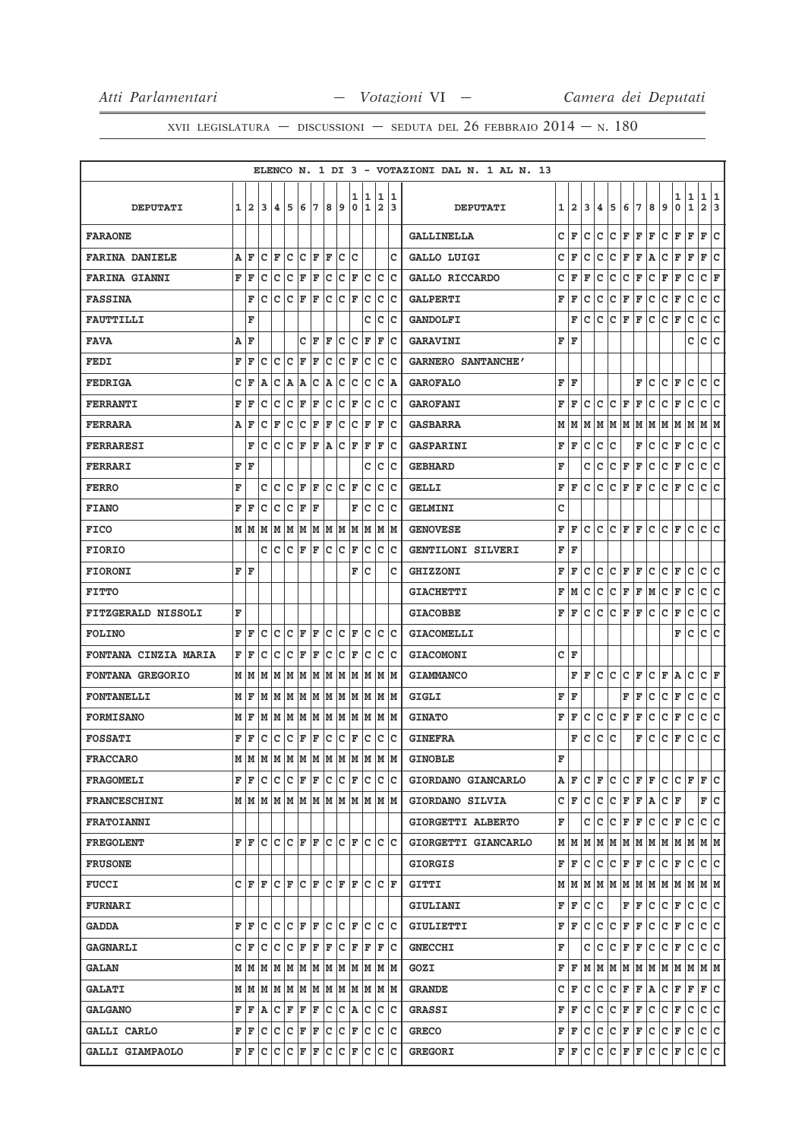|                         |   |               |     |                                     |     |   |     |      |     |                  |                    |                     |        | ELENCO N. 1 DI 3 - VOTAZIONI DAL N. 1 AL N. 13 |                        |              |     |              |     |         |     |    |                                                           |        |                  |                   |        |
|-------------------------|---|---------------|-----|-------------------------------------|-----|---|-----|------|-----|------------------|--------------------|---------------------|--------|------------------------------------------------|------------------------|--------------|-----|--------------|-----|---------|-----|----|-----------------------------------------------------------|--------|------------------|-------------------|--------|
| <b>DEPUTATI</b>         | 1 | 12            | 3   | 14.                                 | 5   | 6 | 7   | 8    | 9   | ı<br>$\mathbf 0$ | 11<br>$\mathbf{1}$ | 1<br>$\overline{a}$ | 1<br>3 | <b>DEPUTATI</b>                                | 1                      | $\mathbf{2}$ | 3   | 4            | 5   | 6       | 7   | 8  | 9                                                         | 1<br>0 | 1<br>$\mathbf 1$ | 1<br>$\mathbf{2}$ | 1<br>3 |
| <b>FARAONE</b>          |   |               |     |                                     |     |   |     |      |     |                  |                    |                     |        | <b>GALLINELLA</b>                              | c                      | F            | c   | c            | c   | F       | F   | F  | c                                                         | F      | $\mathbf{F}$     | F                 | c      |
| <b>FARINA DANIELE</b>   | Α | ΙF            | c   | F                                   | c   | c | ΙF  | F    | c   | c                |                    |                     | c      | GALLO LUIGI                                    | c                      | F            | с   | с            | с   | F       | F   | Α  | с                                                         | F      | F                | F                 | c      |
| <b>FARINA GIANNI</b>    | F | ΙF            | c   | Iс                                  | lc  | F | F   | c    | c   | F                | c                  | c                   | Iс     | GALLO RICCARDO                                 | с                      | F            | F   | с            | с   | с       | F   | с  | F                                                         | F      | с                | с                 | F      |
| <b>FASSINA</b>          |   | F             | c   | Iс                                  | lc  | F | ΙF  | lc   | lc. | F                | c                  | c                   | Iс     | <b>GALPERTI</b>                                | F                      | F            | c   | c            | с   | F       | F   | с  | с                                                         | F      | c                | c                 | c      |
| <b>FAUTTILLI</b>        |   | F             |     |                                     |     |   |     |      |     |                  | C                  | c                   | Iс     | <b>GANDOLFI</b>                                |                        | F            | c   | c            | c   | F       | F   | с  | c                                                         | F      | c                | c                 | lc.    |
| <b>FAVA</b>             |   | A   F         |     |                                     |     | c | lF. | F    | lc. | lc               | F                  | F                   | Ιc     | <b>GARAVINI</b>                                | F                      | ΙF           |     |              |     |         |     |    |                                                           |        | с                | c                 | lc.    |
| FEDI                    | F | ΙF            | c   | Ιc                                  | lc  | F | F   | c    | c   | F                | c                  | c                   | Ιc     | <b>GARNERO SANTANCHE'</b>                      |                        |              |     |              |     |         |     |    |                                                           |        |                  |                   |        |
| <b>FEDRIGA</b>          | c | F             | A   | Iс                                  | ۱A  | A | с   | A    | c   | c                | Ιc                 | c                   | A      | <b>GAROFALO</b>                                | ${\bf F} \mid {\bf F}$ |              |     |              |     |         | F   | с  | c                                                         | F      | c                | c                 | lc.    |
| <b>FERRANTI</b>         | F | ΙF            | с   | Ιc                                  | c   | F | ΙF  | c    | c   | F                | c                  | c                   | Ιc     | <b>GAROFANI</b>                                | F                      | F            | с   | с            | с   | F       | F   | с  | с                                                         | F      | с                | c                 | c      |
| <b>FERRARA</b>          | Α | ١F            | c   | F                                   | c   | c | F   | F    | c   | c                | F                  | F                   | Iс     | <b>GASBARRA</b>                                | М                      | M            | М   | м            | M   | M       | M   | M  | M                                                         | М      | M                | M  M              |        |
| <b>FERRARESI</b>        |   | F             | c   | lc                                  | lc  | F | ΙF  | A    | lc. | l F              | F                  | F                   | Iс     | <b>GASPARINI</b>                               | F                      | F            | C   | с            | C   |         | F   | с  | с                                                         | F      | C                | c                 | ∣c     |
| FERRARI                 | F | ١F            |     |                                     |     |   |     |      |     |                  | C                  | с                   | Iс     | <b>GEBHARD</b>                                 | F                      |              | c   | c            | c   | F       | F   | c  | с                                                         | F      | c                | c                 | lc.    |
| <b>FERRO</b>            | F |               | c   | lc                                  | lc  | F | ΙF  | lc.  | lc  | F                | c                  | c                   | Ιc     | <b>GELLI</b>                                   | F                      | F            | c   | c            | c   | F       | F   | c  | c                                                         | F      | c                | c                 | lc.    |
| <b>FIANO</b>            | F | ΙF            | c   | Iс                                  | c   | F | F   |      |     | F                | c                  | c                   | Ιc     | <b>GELMINI</b>                                 | c                      |              |     |              |     |         |     |    |                                                           |        |                  |                   |        |
| <b>FICO</b>             |   | M   M   M     |     | M M M M                             |     |   |     | MM   |     | M                | M                  |                     | M  M   | <b>GENOVESE</b>                                | F                      | F            | c   | c            | lc. | F       | lF. | с  | c                                                         | F      | с                | c c               |        |
| <b>FIORIO</b>           |   |               | c   | Iс                                  | lc  | F | ΙF  | c    | Iс  | ΙF               | c                  | c                   | Iс     | <b>GENTILONI SILVERI</b>                       | F                      | ΙF           |     |              |     |         |     |    |                                                           |        |                  |                   |        |
| <b>FIORONI</b>          |   | F   F         |     |                                     |     |   |     |      |     | F                | lc                 |                     | c      | <b>GHIZZONI</b>                                | F                      | F            | c   | c            | c   | F       | F   | c  | c                                                         | F      | $\mathbf C$      | c                 | lc.    |
| <b>FITTO</b>            |   |               |     |                                     |     |   |     |      |     |                  |                    |                     |        | <b>GIACHETTI</b>                               | F                      | M            | c   | c            | с   | F       | F   | M  | с                                                         | F      | C                | c                 | ∣c     |
| FITZGERALD NISSOLI      | F |               |     |                                     |     |   |     |      |     |                  |                    |                     |        | <b>GIACOBBE</b>                                | F                      | F            | c   | c            | c   | F       | F   | с  | c                                                         | F      | c                | c                 | lc.    |
| <b>FOLINO</b>           | F | ΙF            | c   | Iс                                  | lc  | F | F   | c    | Iс  | F                | Ιc                 | c                   | lc     | <b>GIACOMELLI</b>                              |                        |              |     |              |     |         |     |    |                                                           | F      | $\mathbf C$      | c                 | ∣c     |
| FONTANA CINZIA MARIA    | F | ١F            | c   | Iс                                  | c   | F | F   | с    | c   | F                | с                  | с                   | Ιc     | <b>GIACOMONI</b>                               | C F                    |              |     |              |     |         |     |    |                                                           |        |                  |                   |        |
| <b>FONTANA GREGORIO</b> |   | MM            | lМ  | lМ                                  | M   | M | M   | M  M |     | M                | M                  |                     | M  M   | <b>GIAMMANCO</b>                               |                        | F            | lF. | с            | lc. | с       | F   | с  | F                                                         | A      | c                | CF                |        |
| <b>FONTANELLI</b>       |   | MF            | M   | lм                                  | M   | M | M   | lМ   | M   | M                | M                  | M                   | M      | <b>GIGLI</b>                                   | F                      | F            |     |              |     | F       | F   | с  | с                                                         | F      | $\mathbf C$      | с                 | c      |
| <b>FORMISANO</b>        | М | ΙF            | M   | MM                                  |     | M | M   | MM   |     | M                | M                  |                     | M  M   | <b>GINATO</b>                                  | F                      | l F          | с   | c            | c   | F       | F   | с  | с                                                         | F      | с                | c                 | ∣c     |
| <b>FOSSATI</b>          | F | l F           | с   | Iс                                  | Iс  | F | F   | с    | Iс  | F                | c                  | c                   | Iс     | <b>GINEFRA</b>                                 |                        | F            | c   | c            | c   |         | F   | c  | c                                                         | F      | c                | c                 | lc.    |
| <b>FRACCARO</b>         |   | MM            |     | M  M  M  M  M  M                    |     |   |     |      | M   | M                | M                  | M                   | M      | <b>GINOBLE</b>                                 | F                      |              |     |              |     |         |     |    |                                                           |        |                  |                   |        |
| <b>FRAGOMELI</b>        |   |               |     | F F C C C F F C C F C               |     |   |     |      |     |                  |                    | c c                 |        | GIORDANO GIANCARLO                             |                        | AF           | lc. | F C          |     | C F F C |     |    |                                                           | C F    |                  | F C               |        |
| <b>FRANCESCHINI</b>     |   |               |     |                                     |     |   |     |      |     |                  |                    |                     |        | GIORDANO SILVIA                                |                        | CF           | c   | c            |     | C F F A |     |    | C F                                                       |        |                  | F C               |        |
| FRATOIANNI              |   |               |     |                                     |     |   |     |      |     |                  |                    |                     |        | GIORGETTI ALBERTO                              | F                      |              | c   | c            | с   | F F     |     | c. | c                                                         | F      | c                | c c               |        |
| <b>FREGOLENT</b>        |   | FF            | lc. | $ c c _F _F c c$                    |     |   |     |      |     |                  | F C                |                     | lc lc  | GIORGETTI GIANCARLO                            |                        | MM           | M   | M            |     |         |     |    | M   M   M   M   M   M                                     |        |                  | M M               |        |
| <b>FRUSONE</b>          |   |               |     |                                     |     |   |     |      |     |                  |                    |                     |        | <b>GIORGIS</b>                                 |                        | FF           | с   | c            | c   | F F     |     | c  | С                                                         | F      | С                | c c               |        |
| <b>FUCCI</b>            |   | $C$ $ F $ $F$ |     | C  F  C  F  C  F  F  C              |     |   |     |      |     |                  |                    | IC IF               |        | <b>GITTI</b>                                   |                        |              |     |              |     |         |     |    | $M$   $M$   $M$   $M$   $M$   $M$   $M$   $M$   $M$   $M$ |        |                  | M M               |        |
| <b>FURNARI</b>          |   |               |     |                                     |     |   |     |      |     |                  |                    |                     |        | GIULIANI                                       |                        | FF           | с   | lc           |     | F F     |     | c. | С                                                         | F      | Iс               | C C               |        |
| <b>GADDA</b>            |   |               |     |                                     |     |   |     |      |     |                  |                    | FFCCCFFCCFCFCC      |        | GIULIETTI                                      |                        | F F C        |     |              |     | C C F F |     | c. | lc.                                                       | F      | lc.              | c c               |        |
| <b>GAGNARLI</b>         |   | C F           | с   | Iс                                  | Ιc  | F | F   | F    | Iс  | F                | F                  | F                   | Ιc     | <b>GNECCHI</b>                                 | F                      |              | c   | с            | с   | F       | F   | c  | с                                                         | F      | c                | c c               |        |
| <b>GALAN</b>            |   |               |     |                                     |     |   |     |      |     |                  |                    |                     | M M    | GOZI                                           |                        | FF           |     |              |     |         |     |    |                                                           |        |                  |                   |        |
| <b>GALATI</b>           |   |               |     | $M$ $M$ $M$ $M$ $M$ $M$ $M$ $M$ $M$ |     |   |     |      |     |                  | M M                |                     | M M    | <b>GRANDE</b>                                  | с                      | F            | с   | $\mathbf C$  | с   | F F     |     | A  | с                                                         | F      | lF.              | F C               |        |
| <b>GALGANO</b>          |   |               |     | F F A C F F F                       |     |   |     | c c  |     |                  | $ {\bf A} {\bf C}$ | с                   | Ιc     | <b>GRASSI</b>                                  | F                      | F            | c   | $\mathbf{C}$ |     | C F F   |     | c. | c                                                         | F      | lc.              | c c               |        |
| <b>GALLI CARLO</b>      |   | FF            |     | C C C F F                           |     |   |     | c c  |     |                  | F C                |                     | c c    | <b>GRECO</b>                                   |                        | FF           | c   | с            | c   | F F     |     | c. | lc.                                                       | F      | lc.              | c c               |        |
| GALLI GIAMPAOLO         |   | FF            | C C |                                     | C F |   | F   | ∣c   | ∣c  | F                | Iс                 | с                   | Ιc     | <b>GREGORI</b>                                 |                        | F F C        |     | с            | c   | F F     |     | c. | c                                                         | F      | Iс               | c c               |        |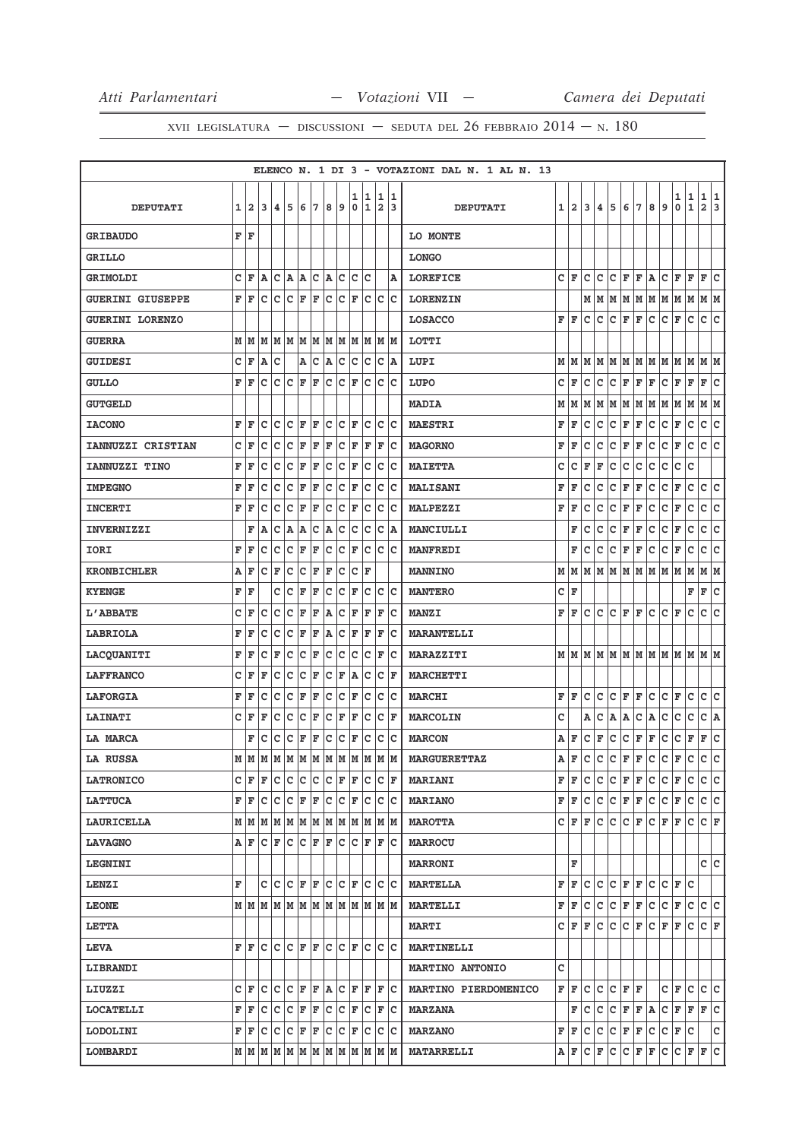|                          |   |                         |    |                                                     |     |             |     |     |                      |                  |                   |        |         | ELENCO N. 1 DI 3 - VOTAZIONI DAL N. 1 AL N. 13 |    |                |              |              |             |              |              |    |              |           |              |                            |
|--------------------------|---|-------------------------|----|-----------------------------------------------------|-----|-------------|-----|-----|----------------------|------------------|-------------------|--------|---------|------------------------------------------------|----|----------------|--------------|--------------|-------------|--------------|--------------|----|--------------|-----------|--------------|----------------------------|
| <b>DEPUTATI</b>          | 1 | $\overline{\mathbf{2}}$ | 3  | 4                                                   | 5   | 6           | 7   | 8   | و ا                  | 1<br>$\mathbf 0$ | 1<br>$\mathbf{1}$ | 1<br>2 | 11<br>3 | <b>DEPUTATI</b>                                | 11 | $\overline{a}$ | 3            | 4            | 5           | 6            | 7            | 8  | 9            | 1<br>0    | 1<br>1       | 1 1<br>$\overline{a}$<br>3 |
| <b>GRIBAUDO</b>          |   | f F                     |    |                                                     |     |             |     |     |                      |                  |                   |        |         | LO MONTE                                       |    |                |              |              |             |              |              |    |              |           |              |                            |
| <b>GRILLO</b>            |   |                         |    |                                                     |     |             |     |     |                      |                  |                   |        |         | <b>LONGO</b>                                   |    |                |              |              |             |              |              |    |              |           |              |                            |
| <b>GRIMOLDI</b>          | c | l F                     | A  | Iс                                                  | A   | A           | Iс  | A   | Iс                   | c                | c                 |        | lA.     | <b>LOREFICE</b>                                | c  | F              | C            | с            | c           | F            | F            | A  | с            | F         | F            | Ιc<br>F                    |
| <b>GUERINI GIUSEPPE</b>  | F | İF                      | c  | Iс                                                  | lc. | F           | ΙF  | lc. | Iс                   | F                | Ιc                | c      | lc      | <b>LORENZIN</b>                                |    |                | М            | M            | M           | M M          |              | MM |              | MM        |              | M M                        |
| <b>GUERINI LORENZO</b>   |   |                         |    |                                                     |     |             |     |     |                      |                  |                   |        |         | <b>LOSACCO</b>                                 | F  | l F            | c            | c            | c           | F            | F            | с  | c            | F         | c            | c<br>lc.                   |
| <b>GUERRA</b>            |   | MM                      | lМ | MM                                                  |     | MM          |     |     | MM                   |                  | MM                |        | M  M    | LOTTI                                          |    |                |              |              |             |              |              |    |              |           |              |                            |
| <b>GUIDESI</b>           | c | ΙF                      | Α  | Ιc                                                  |     | Α           | c   | A   | c                    | c                | Ιc                | c      | ۱A.     | LUPI                                           |    | MM             | lм           | lм           | M           | M M          |              | MM |              | MM        |              | M<br>lМ                    |
| <b>GULLO</b>             | F | F                       | C  | lc.                                                 | c   | F           | l F | lc  | c                    | l F              | c                 | c      | lc      | LUPO                                           | c  | l F            | $\mathtt{C}$ | $\mathtt{C}$ | c           | F            | F            | F  | c            | F         | F            | F<br> c                    |
| <b>GUTGELD</b>           |   |                         |    |                                                     |     |             |     |     |                      |                  |                   |        |         | <b>MADIA</b>                                   | М  | М              | M            | М            | M           | M            | M            | M  | M            | M         | M            | M  M                       |
| <b>IACONO</b>            | F | ΙF                      | c  | Ιc                                                  | lc  | F           | ΙF  | c   | lc                   | F                | lc                | c      | lc      | <b>MAESTRI</b>                                 | F  | F              | C            | c            | c           | F            | F            | c  | c            | F         | c            | c<br>lc.                   |
| <b>IANNUZZI CRISTIAN</b> | c | F                       | C  | c                                                   | c   | F           | F   | F   | c                    | F                | F                 | F      | lc      | <b>MAGORNO</b>                                 | F  | F              | c            | с            | C           | F            | F            | с  | с            | F         | $\mathbf C$  | c<br>lc.                   |
| IANNUZZI TINO            | F | ΙF                      | c  | Iс                                                  | c   | F           | F   | C   | c                    | F                | c                 | c      | Ιc      | <b>MAIETTA</b>                                 | c  | c              | F            | F            | c           | C            | C            | C  | c            | C         | c            |                            |
| <b>IMPEGNO</b>           | F | F                       | c  | Iс                                                  | lc  | F           | F   | c   | c                    | F                | c                 | c      | Iс      | <b>MALISANI</b>                                | F  | F              | с            | с            | с           | F            | F            | с  | с            | F         | $\mathbf C$  | ∣c<br>c                    |
| <b>INCERTI</b>           | F | ΙF                      | C  | Ιc                                                  | c   | F           | F   | C   | c                    | F                | c                 | C      | lc      | <b>MALPEZZI</b>                                | F  | F              | c            | с            | с           | F            | F            | с  | с            | F         | с            | С<br>c                     |
| <b>INVERNIZZI</b>        |   | F                       | A  | lc.                                                 | ۱A  | A           | ∣c  | A   | c                    | lc.              | lc.               | c      | A       | MANCIULLI                                      |    | F              | C            | C            | c           | F            | F            | c  | $\mathtt{C}$ | F         | $\mathtt{C}$ | c<br>c                     |
| IORI                     | F | F                       | с  | Iс                                                  | lc  | F           | F   | c   | c                    | F                | Ιc                | c      | Iс      | <b>MANFREDI</b>                                |    | F              | C            | c            | с           | F            | F            | с  | c            | F         | c            | lc.<br>c                   |
| <b>KRONBICHLER</b>       | A | ΙF                      | c  | ΙF                                                  | c   | Ιc          | ΙF  | F   | c                    | c                | F                 |        |         | <b>MANNINO</b>                                 | М  | M              | M            | lм           | M           | lм           | M            | M  | M            | M         | M            | M<br>lМ                    |
| <b>KYENGE</b>            | F | ΙF                      |    | c                                                   | lc  | F           | F   | C   | c                    | ΙF               | lc                | c      | lc      | <b>MANTERO</b>                                 | c  | F              |              |              |             |              |              |    |              |           | F            | ∣c<br>F                    |
| L'ABBATE                 | C | ΙF                      | C  | Iс                                                  | c   | F           | F   | A   | c                    | ΙF               | F                 | F      | Iс      | <b>MANZI</b>                                   | F  | F              | с            | c            | c           | F            | F            | с  | с            | F         | с            | c<br>lc.                   |
| LABRIOLA                 | F | F                       | c  | c                                                   | c   | F           | F   | A   | c                    | F                | F                 | F      | Iс      | <b>MARANTELLI</b>                              |    |                |              |              |             |              |              |    |              |           |              |                            |
| <b>LACQUANITI</b>        | F | ΙF                      | c  | F                                                   | C   | C           | F   | C   | c                    | C                | C                 | F      | c       | <b>MARAZZITI</b>                               |    | MM             | Iм           |              |             |              |              |    |              | MMMMMMMMM |              | M M                        |
| <b>LAFFRANCO</b>         | c | l F                     | F  | lc.                                                 | c   | c           | F   | C   | F                    | A                | lc                | C      | F       | <b>MARCHETTI</b>                               |    |                |              |              |             |              |              |    |              |           |              |                            |
| <b>LAFORGIA</b>          | F | F                       | с  | c                                                   | c   | F           | F   | c   | c                    | F                | Ιc                | c      | Iс      | <b>MARCHI</b>                                  | F  | F              | C            | c            | c           | F            | F            | с  | c            | F         | c            | lc.<br>c                   |
| <b>LAINATI</b>           | c | l F                     | F  | Iс                                                  | lc  | Ιc          | ΙF  | c   | F                    | ΙF               | c                 | c      | ΙF      | <b>MARCOLIN</b>                                | c  |                | Α            | c            | A           | Α            | c            | A  | c            | c         | c            | c<br>A                     |
| LA MARCA                 |   | F                       | Ιc | lc.                                                 | Ιc  | F           | F   | lc. | lc.                  | F                | c                 | c      | lc      | <b>MARCON</b>                                  | Α  | F              | c            | F            | с           | $\mathtt{C}$ | F            | F  | c            | c         | F            | c<br>F                     |
| <b>LA RUSSA</b>          |   | MM                      | M  | MMM                                                 |     |             | MM  |     | M                    | lм               | M                 | M      | M       | <b>MARGUERETTAZ</b>                            | A  | F              | c            | c            | c           | F            | $\mathbf{F}$ | c  | c            | F         | c            | lc.<br>c                   |
| <b>LATRONICO</b>         | c | ΙF                      | F  | с                                                   | c   | c           | c   | c   | F                    | F                | Iс                | с      | F       | <b>MARIANI</b>                                 | F  | lF.            | с            | с            | c           | F            | F            | с  | с            | F         | c            | C C                        |
| <b>LATTUCA</b>           | F | ΙF                      | c  | c                                                   | c   | F           | F   | c   | c                    | F                | Ιc                | C      | ∣c      | <b>MARIANO</b>                                 | F  | F              | c            | c            | c           | F            | F            | c  | c            | F         | $\mathbf C$  | c c                        |
| <b>LAURICELLA</b>        |   |                         |    | M   M   M   M   M   M   M   M                       |     |             |     |     |                      | lм               | lм                |        | M M     | <b>MAROTTA</b>                                 |    | C F            | F            | c            | lc.         | lc.          | F            | c. | F            | F         | c            | CF                         |
| <b>LAVAGNO</b>           |   | A F                     |    | $ {\bf C}  {\bf F}  {\bf C} $                       |     | $C$ $F$ $F$ |     |     | Iс                   | lc.              | ΙF                | F      | Iс      | <b>MARROCU</b>                                 |    |                |              |              |             |              |              |    |              |           |              |                            |
| <b>LEGNINI</b>           |   |                         |    |                                                     |     |             |     |     |                      |                  |                   |        |         | <b>MARRONI</b>                                 |    | F              |              |              |             |              |              |    |              |           |              | c c                        |
| <b>LENZI</b>             | F |                         |    | C C C F F                                           |     |             |     |     | $ C C $ $\mathbf{F}$ |                  | lc.               |        | c c     | <b>MARTELLA</b>                                | F  | F              | lc.          | c            | lc.         | F F          |              | c  | c            | F C       |              |                            |
| <b>LEONE</b>             |   |                         |    | M   M   M   M   M   M   M   M   M                   |     |             |     |     |                      |                  | M                 |        | M M     | <b>MARTELLI</b>                                | F  | F              | с            | с            | с           | F            | F            | с  | с            | F         | c            | с<br>c                     |
| <b>LETTA</b>             |   |                         |    |                                                     |     |             |     |     |                      |                  |                   |        |         | <b>MARTI</b>                                   |    | C F F          |              | c            | IС          | c            | F            | c. | F            | F         | c            | C F                        |
| <b>LEVA</b>              | F | ΙF                      | lc | $ C C $ $\mathbf{F}$ $ \mathbf{F} $                 |     |             |     | lc. | lc                   | l F              | lc                | c      | Ιc      | <b>MARTINELLI</b>                              |    |                |              |              |             |              |              |    |              |           |              |                            |
| <b>LIBRANDI</b>          |   |                         |    |                                                     |     |             |     |     |                      |                  |                   |        |         | <b>MARTINO ANTONIO</b>                         | c  |                |              |              |             |              |              |    |              |           |              |                            |
| LIUZZI                   |   | C F                     |    | C C C F F A C F F                                   |     |             |     |     |                      |                  |                   | F C    |         | MARTINO PIERDOMENICO                           |    | FF             | lc.          | lc.          | $C$ $F$ $F$ |              |              |    | CF           |           | с            | c c                        |
| <b>LOCATELLI</b>         |   | F F                     | с  | Iс                                                  | ∣c  | F           | F   | c   | С                    | F                | Iс                | F      | ΙC      | <b>MARZANA</b>                                 |    | F              | с            | c            | c           | F            | F A          |    | c            | F         | F            | F<br> c                    |
| <b>LODOLINI</b>          |   | FF                      |    | C C C F F                                           |     |             |     |     | C C F                |                  | ΙC                | lc.    | ∣c      | <b>MARZANO</b>                                 |    | FF             | c            | c            | c           | F            | F            | c  | c            | F         | Iс           | c                          |
| <b>LOMBARDI</b>          |   |                         |    | $M$   $M$   $M$   $M$   $M$   $M$   $M$   $M$   $M$ |     |             |     |     |                      |                  | M                 |        | M  M    | <b>MATARRELLI</b>                              |    | AF             | c            | F            | c           | с            | F            | F  | c            | c         | F            | c<br>F                     |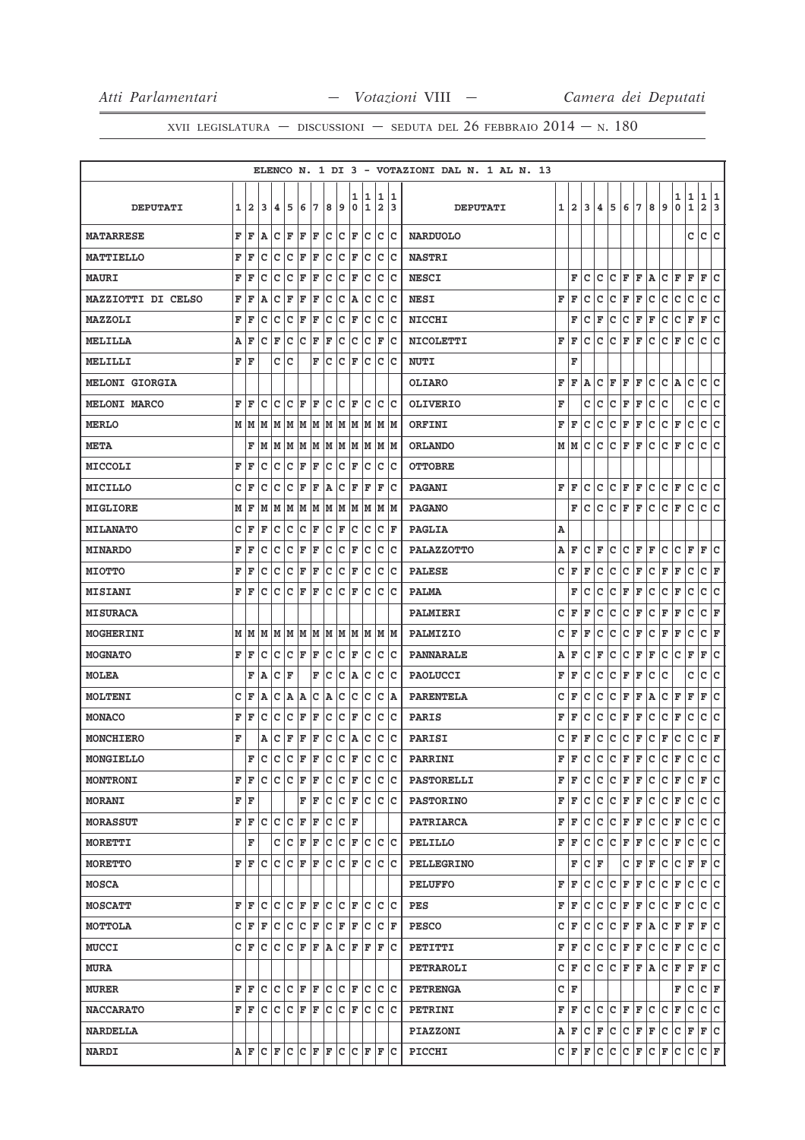|                           |   |              |    |     |             |    |    |   |     |    |             |     |      | ELENCO N. 1 DI 3 - VOTAZIONI DAL N. 1 AL N. 13 |   |              |    |             |    |             |     |   |   |     |              |          |
|---------------------------|---|--------------|----|-----|-------------|----|----|---|-----|----|-------------|-----|------|------------------------------------------------|---|--------------|----|-------------|----|-------------|-----|---|---|-----|--------------|----------|
|                           |   |              |    |     |             |    |    |   |     | 1  | 1           | 1   | 1    |                                                |   |              |    |             |    |             |     |   |   | 1   | 1            | 1<br>1   |
| <b>DEPUTATI</b>           | 1 | $\mathbf{2}$ | 3  | 4   | 5           | 6  | 7  | 8 | و   | 0  | $\mathbf 1$ | 2   | 3    | <b>DEPUTATI</b>                                | 1 | $\mathbf{2}$ | 3  | 4           | 5  | 6           | 7   | 8 | 9 | 0   | $\mathbf{1}$ | 2<br>3   |
| <b>MATARRESE</b>          | F | F            | A  | с   | F           | F  | F  | с | Iс  | F  | с           | c   | Iс   | <b>NARDUOLO</b>                                |   |              |    |             |    |             |     |   |   |     | c            | lc.<br>c |
| <b>MATTIELLO</b>          | F | F            | c  | c   | c           | F  | F  | C | c   | F  | c           | c   | c    | <b>NASTRI</b>                                  |   |              |    |             |    |             |     |   |   |     |              |          |
| <b>MAURI</b>              | F | F            | с  | c   | c           | F  | F  | c | c   | F  | c           | C   | Ιc   | <b>NESCI</b>                                   |   | F            | с  | c           | c  | F           | F   | A | c | F   | F            | c<br>F   |
| <b>MAZZIOTTI DI CELSO</b> | F | F            | Α  | c   | F           | F  | F  | C | c   | A  | с           | c   | Iс   | <b>NESI</b>                                    | F | F            | с  | с           | с  | F           | F   | с | с | с   | с            | c<br> c  |
| <b>MAZZOLI</b>            | F | F            | c  | c   | c           | F  | ΙF | c | Iс  | F  | c           | c   | c    | <b>NICCHI</b>                                  |   | F            | с  | F           | c  | c           | F   | F | с | c   | $\mathbf{F}$ | c<br>F   |
| <b>MELILLA</b>            | А | F            | c  | F   | $\mathbf C$ | c  | F  | F | c   | c  | c           | F   | Iс   | <b>NICOLETTI</b>                               | F | F            | c  | c           | c  | F           | F   | c | c | F   | c            | c<br> c  |
| MELILLI                   | F | F            |    | с   | c           |    | F  | c | c   | F  | c           | c   | c    | <b>NUTI</b>                                    |   | F            |    |             |    |             |     |   |   |     |              |          |
| <b>MELONI GIORGIA</b>     |   |              |    |     |             |    |    |   |     |    |             |     |      | <b>OLIARO</b>                                  | F | F            | ΙA | с           | F  | F           | F   | с | c | ΙA. | с            | c<br>с   |
| <b>MELONI MARCO</b>       | F | F            | c  | c   | C           | F  | F  | c | c   | F  | c           | c   | c    | <b>OLIVERIO</b>                                | F |              | с  | с           | с  | $\mathbf F$ | F   | с | с |     | с            | с<br>c   |
| <b>MERLO</b>              |   | M M          | M  | M   | M           | M  | M  | M | M   | M  | M           |     | M  M | ORFINI                                         | F | F            | с  | с           | c  | F           | F   | c | с | F   | c            | lc.<br>c |
| <b>META</b>               |   | F            | M  | M   | M           | M  | M  | M | M   | M  | M           |     | M  M | <b>ORLANDO</b>                                 | М | lМ           | с  | с           | с  | F           | F   | с | с | F   | с            | c<br>lc. |
| <b>MICCOLI</b>            | F | F            | c  | c   | c           | F  | ΙF | c | Iс  | F  | с           | c   | c    | <b>OTTOBRE</b>                                 |   |              |    |             |    |             |     |   |   |     |              |          |
| <b>MICILLO</b>            | c | F            | с  | c   | $\mathbf C$ | F  | F  | A | c   | F  | F           | F   | c    | <b>PAGANI</b>                                  | F | F            | c  | с           | c  | F           | F   | с | c | F   | с            | c<br>с   |
| <b>MIGLIORE</b>           | М | F            | M  | M   | M           | M  | M  | M | M   | M  | M           | M   | M    | <b>PAGANO</b>                                  |   | F            | с  | c           | c  | F           | F   | с | с | F   | с            | с<br>с   |
| <b>MILANATO</b>           | с | F            | F  | с   | c           | Iс | F  | c | F   | c  | c           | c   | F    | <b>PAGLIA</b>                                  | Α |              |    |             |    |             |     |   |   |     |              |          |
| <b>MINARDO</b>            | F | F            | c  | c   | c           | F  | F  | c | c   | F  | c           | c   | c    | <b>PALAZZOTTO</b>                              | Α | F            | c  | F           | c  | с           | F   | F | c | с   | F            | F<br>c   |
| <b>MIOTTO</b>             | F | F            | c  | C   | C           | F  | F  | C | lc  | F  | c           | c   | c    | <b>PALESE</b>                                  | c | F            | F  | c           | c  | с           | F   | c | F | F   | с            | c<br>F   |
| <b>MISIANI</b>            | F | F            | с  | c   | c           | F  | F  | c | Iс  | F  | с           | c   | c    | <b>PALMA</b>                                   |   | F            | с  | с           | с  | F           | F   | с | с | F   | с            | c<br> c  |
| <b>MISURACA</b>           |   |              |    |     |             |    |    |   |     |    |             |     |      | <b>PALMIERI</b>                                | c | F            | F  | c           | с  | с           | F   | c | F | F   | c            | с<br>F   |
| <b>MOGHERINI</b>          |   | MM           | lМ | M M |             | M  | M  | M | M   | M  | M           |     | M M  | PALMIZIO                                       | с | F            | F  | с           | с  | с           | F   | с | F | F   | c            | F<br>с   |
| <b>MOGNATO</b>            | F | F            | с  | c   | с           | F  | F  | с | с   | F  | с           | c   | c    | PANNARALE                                      | Α | F            | с  | F           | с  | с           | F   | F | с | с   | F            | F<br>с   |
| <b>MOLEA</b>              |   | F            | ١A | c   | F           |    | F  | C | c   | A  | c           | c   | c    | <b>PAOLUCCI</b>                                | F | F            | с  | с           | с  | F           | F   | с | с |     | с            | c<br>с   |
| <b>MOLTENI</b>            | c | F            | A  | c   | A           | A  | c  | A | c   | C  | c           | c   | A    | <b>PARENTELA</b>                               | c | F            | c  | с           | с  | F           | F   | Α | c | F   | F            | F<br>c   |
| <b>MONACO</b>             | F | F            | c  | C   | C           | F  | F  | C | C   | F  | c           | c   | c    | <b>PARIS</b>                                   | F | F            | c  | c           | с  | F           | F   | c | с | F   | с            | c<br>lc. |
| <b>MONCHIERO</b>          | F |              | А  | c   | F           | F  | F  | c | c   | A  | с           | с   | c    | PARISI                                         | с | F            | F  | с           | с  | c           | F   | с | F | с   | c            | с<br>F   |
| MONGIELLO                 |   | F            | c  | c   | c           | F  | F  | c | lc. | F  | c           | c   | c    | <b>PARRINI</b>                                 | F | l F          | c  | c           | с  | F           | F   | c | c | F   | с            | lc.<br>c |
| <b>MONTRONI</b>           | F | F            | с  | Iс  | Iс          | F  | F  | c | с   | F  | с           | c   | Iс   | <b>PASTORELLI</b>                              | F | F            | c  | с           | c  | F           | F   | с | с | F   | c            | lc.<br>F |
| <b>MORANI</b>             | F | F            |    |     |             | F  | F  | с | Iс  | F  | с           | c   | Ιc   | <b>PASTORINO</b>                               | F | F            | с  | с           | с  | F           | F   | с | с | F   | с            | c<br>с   |
| <b>MORASSUT</b>           | F | F            | C  | c   | c           | F  | F  | C | c   | ΙF |             |     |      | <b>PATRIARCA</b>                               | F | F            | с  | c           | с  | $\mathbf F$ | F   | c | с | F   | с            | ∣c<br>c  |
| <b>MORETTI</b>            |   | F            |    | C   | c           | F  | F  | c | lc  | F  | lc.         | lc. | Ιc   | PELILLO                                        | F | F            | c  | c           | c  | F           | F   | c | c | F   | c            | lc.<br>c |
| <b>MORETTO</b>            | F | F            | с  | c   | c           | F  | ΙF | c | Iс  | F  | с           | c   | Ιc   | <b>PELLEGRINO</b>                              |   | F            | с  | ΙF          |    | c           | F   | F | с | с   | F            | lc.<br>F |
| <b>MOSCA</b>              |   |              |    |     |             |    |    |   |     |    |             |     |      | <b>PELUFFO</b>                                 | F | F            | c  | c           | c  | F           | F   | c | c | F   | c            | c<br>lc. |
| <b>MOSCATT</b>            | F | F            | c  | с   | c           | F  | ΙF | c | с   | F  | c           | c   | Ιc   | PES                                            | F | F            | с  | c           | с  | F           | F   | с | с | F   | с            | c<br>c   |
| MOTTOLA                   | c | F            | F  | c   | lc.         | c  | F  | c | F   | F  | c           | c   | F    | <b>PESCO</b>                                   | с | F            | c  | c           | с  | F           | F   | A | с | F   | F            | F C      |
| <b>MUCCI</b>              | c | F            | с  | c   | c           | F  | F  | A | c   | F  | F           | F   | Iс   | PETITTI                                        | F | F            | с  | c           | с  | F           | F   | c | с | F   | с            | c<br> c  |
| <b>MURA</b>               |   |              |    |     |             |    |    |   |     |    |             |     |      | <b>PETRAROLI</b>                               | с | F            | c  | c           | c. | F           | F A |   | с | F   | F            | F<br>lc. |
| <b>MURER</b>              | F | F            | c  | c   | lc.         | F  | ΙF | c | lc  | ΙF | c           | c   | Iс   | <b>PETRENGA</b>                                | c | F            |    |             |    |             |     |   |   | F   | c            | СF       |
| <b>NACCARATO</b>          | F | F            | с  | c   | c           | F  | F  | c | Iс  | F  | с           | c   | Ιc   | <b>PETRINI</b>                                 | F | F            | c  | c           | c  | F           | F   | c | с | F   | с            | lc.<br>c |
| <b>NARDELLA</b>           |   |              |    |     |             |    |    |   |     |    |             |     |      | <b>PIAZZONI</b>                                | Α | F            | c  | F           | c  | c           | F   | F | c | с   | F            | F<br>lc. |
| <b>NARDI</b>              |   | AF           | с  | F   | c           | c  | F  | F | c   | Iс | F           | F   | Ιc   | PICCHI                                         | c | F            | F  | $\mathbf C$ | c  | c           | F   | c | F | с   | c            | C F      |
|                           |   |              |    |     |             |    |    |   |     |    |             |     |      |                                                |   |              |    |             |    |             |     |   |   |     |              |          |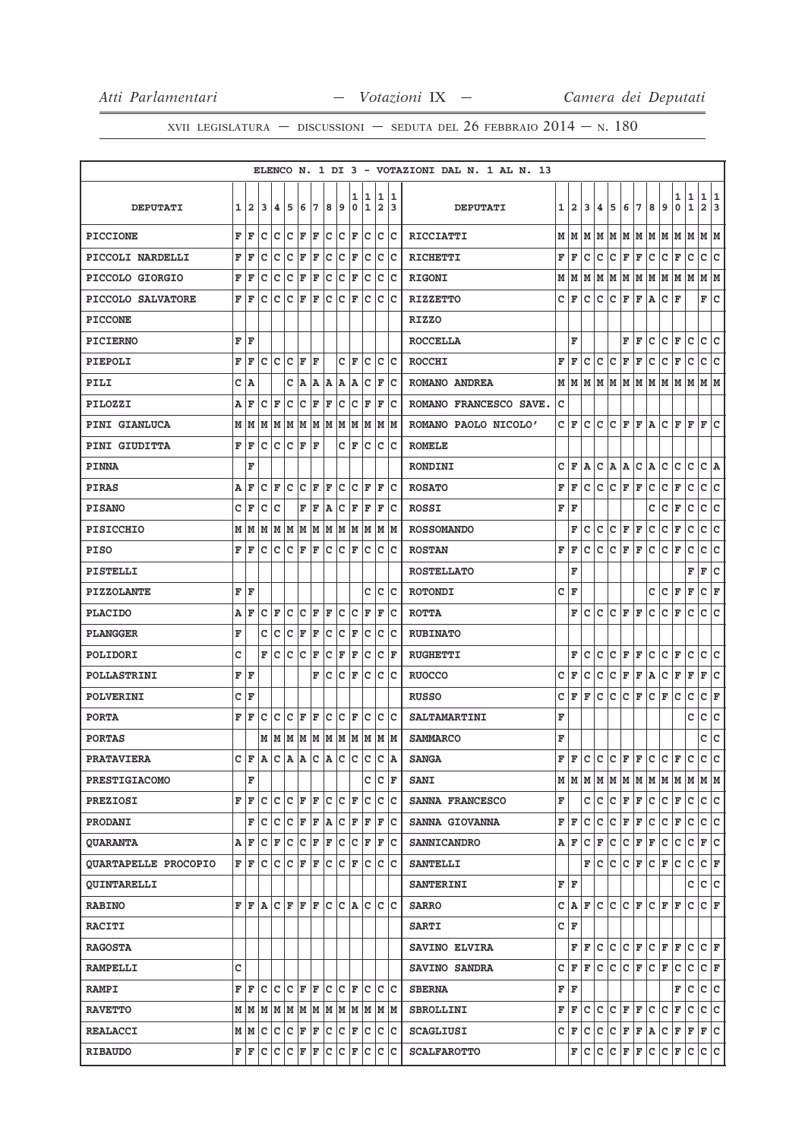|                             |              |                                                                       |                |                |                 |       |       |                |                      |     |                 |                         |       |    | ELENCO N. 1 DI 3 - VOTAZIONI DAL N. 1 AL N. 13 |   |                         |     |     |   |              |     |         |                                         |   |              |                         |     |
|-----------------------------|--------------|-----------------------------------------------------------------------|----------------|----------------|-----------------|-------|-------|----------------|----------------------|-----|-----------------|-------------------------|-------|----|------------------------------------------------|---|-------------------------|-----|-----|---|--------------|-----|---------|-----------------------------------------|---|--------------|-------------------------|-----|
|                             |              |                                                                       |                |                |                 |       |       |                |                      | 1   | 11              |                         | 1 1   |    |                                                |   |                         |     |     |   |              |     |         |                                         | 1 | 1            | 1                       | 1   |
| <b>DEPUTATI</b>             | $\mathbf{1}$ | $\mathbf{2}$                                                          | 3              | 4              | 5               | 6     | 7     | 8              | 9                    | 0   | 1               | $\overline{\mathbf{2}}$ |       | 13 | <b>DEPUTATI</b>                                | 1 | $\overline{\mathbf{2}}$ | 3   | 4   | 5 | 6            | 7   | 8       | 9                                       | 0 | $\mathbf 1$  | $\overline{\mathbf{2}}$ | 3   |
| <b>PICCIONE</b>             |              | FF                                                                    | с              | с              | c               | F     | F     |                | c c                  | F   | Iс              |                         | c c   |    | <b>RICCIATTI</b>                               | м | M                       | м   | м   | М | м            | M   | м       | М                                       | М | М            | М                       | M   |
| PICCOLI NARDELLI            | F            | F                                                                     | с              | с              | c               | F     | F     | $\overline{C}$ | c                    | F   | Iс              | Iс                      | ١c    |    | RICHETTI                                       | F | F                       | с   | с   | с | F            | F   | с       | с                                       | F | с            | c                       | c   |
| PICCOLO GIORGIO             | F            | ΙF                                                                    | с              | c              | c               | F     | F     |                | c c                  | F   | ∣c              |                         | c c   |    | <b>RIGONI</b>                                  | м | M                       | м   | м   |   |              |     |         | $M$   $M$   $M$   $M$   $M$   $M$   $M$ |   |              | M  M                    |     |
| PICCOLO SALVATORE           |              | FF                                                                    | с              | с              | C F             |       | F     |                | $ C C $ F            |     |                 |                         | c c c |    | <b>RIZZETTO</b>                                | с | F                       | с   | с   | с | F            | F   | Α       | с                                       | F |              | F                       | Ιc  |
| <b>PICCONE</b>              |              |                                                                       |                |                |                 |       |       |                |                      |     |                 |                         |       |    | <b>RIZZO</b>                                   |   |                         |     |     |   |              |     |         |                                         |   |              |                         |     |
| <b>PICIERNO</b>             |              | FF                                                                    |                |                |                 |       |       |                |                      |     |                 |                         |       |    | <b>ROCCELLA</b>                                |   | F                       |     |     |   | F            | F   | с       | с                                       | F | c            | c                       | c   |
| PIEPOLI                     | F            | ١F                                                                    |                | c Ic           | $ C $ $\bf{F}$  |       | ΙF    |                |                      | C F | Iс              | ΙC                      | ΙC    |    | <b>ROCCHI</b>                                  | F | F                       | с   | с   | с | F            | F   | с       | с                                       | F | с            | с                       | c   |
| PILI                        |              | C A                                                                   |                |                |                 |       |       |                | C  A A  A A          | ۱A  | Iс              |                         | F C   |    | ROMANO ANDREA                                  | м | M                       | м   | M   | М | м            |     |         | M  M  M  M  M                           |   |              | M  M                    |     |
| PILOZZI                     | Α            | F                                                                     | с              | F              | c               | c     | F     | F              | c                    | c   | ١F              | F                       |       | ١c | ROMANO FRANCESCO SAVE.                         | c |                         |     |     |   |              |     |         |                                         |   |              |                         |     |
| PINI GIANLUCA               |              | $M$   $M$   $M$   $M$   $M$   $M$   $M$   $M$   $M$   $M$   $M$   $M$ |                |                |                 |       |       |                |                      |     |                 |                         |       |    | ROMANO PAOLO NICOLO'                           | c | F                       | c   | с   | с | F            | F A |         | C F                                     |   | F F          |                         | Ιc  |
| <b>PINI GIUDITTA</b>        | F            | F                                                                     | с              | c              | C F             |       | ΙF    |                |                      | CF  |                 |                         | c c c |    | <b>ROMELE</b>                                  |   |                         |     |     |   |              |     |         |                                         |   |              |                         |     |
| <b>PINNA</b>                |              | F                                                                     |                |                |                 |       |       |                |                      |     |                 |                         |       |    | <b>RONDINI</b>                                 | c | F                       | Α   | c   | Α | Α            | с   | Α       | с                                       | с | с            | c                       | ١A. |
| <b>PIRAS</b>                | Α            | F                                                                     | с              | F              | c               |       | C F F |                | lc.                  |     | C F F           |                         |       | Ιc | <b>ROSATO</b>                                  | F | F                       | с   | с   | с | F F          |     | с       | с                                       | F | с            | с                       | Iс  |
| <b>PISANO</b>               | с            | F                                                                     | с              | c              |                 | F     | F     | ١A             | c                    | F   | F               | F                       |       | lc | <b>ROSSI</b>                                   | F | F                       |     |     |   |              |     | с       | с                                       | F | с            | с                       | с   |
| <b>PISICCHIO</b>            |              |                                                                       |                |                |                 |       |       |                |                      |     |                 |                         |       |    | <b>ROSSOMANDO</b>                              |   | F                       | с   | с   | с | F            | F   | с       | с                                       | F | с            | с                       | c   |
| <b>PISO</b>                 | F            | F                                                                     | c              | с              | C F             |       | ΙF    |                | $ C C $ F            |     | Iс              |                         | c c   |    | <b>ROSTAN</b>                                  | F | F                       | c   | c   | c | $\mathbf F$  | F   | c       | c                                       | F | c            | c                       | c   |
| PISTELLI                    |              |                                                                       |                |                |                 |       |       |                |                      |     |                 |                         |       |    | <b>ROSTELLATO</b>                              |   | F                       |     |     |   |              |     |         |                                         |   | F            | F                       | c   |
| <b>PIZZOLANTE</b>           |              | FF                                                                    |                |                |                 |       |       |                |                      |     | с               |                         | c c   |    | <b>ROTONDI</b>                                 | с | F                       |     |     |   |              |     | c       | с                                       | F | F            | C F                     |     |
| <b>PLACIDO</b>              | Α            | F                                                                     | с              | F              | с               | с     | ΙF    | F              | Iс                   | Ιc  | ΙF              | F                       |       | Ιc | <b>ROTTA</b>                                   |   | F                       | c   | с   | с | F            | F   | с       | с                                       | F | c            | с                       | с   |
| <b>PLANGGER</b>             | F            |                                                                       |                | C C            | C F F           |       |       |                | $ C C $ $\mathbf{F}$ |     |                 |                         | C C C |    | <b>RUBINATO</b>                                |   |                         |     |     |   |              |     |         |                                         |   |              |                         |     |
| POLIDORI                    | с            |                                                                       | F              | c              | с               | c     | F     | с              | F                    | F   | Ιc              | Iс                      | ΙF    |    | <b>RUGHETTI</b>                                |   | F                       | с   | с   | с | F            | F   | с       | с                                       | F | с            | с                       | с   |
| <b>POLLASTRINI</b>          |              | F  F                                                                  |                |                |                 |       | F     | c              | Iс                   | F   | Iс              |                         | c c   |    | <b>RUOCCO</b>                                  | с | F                       | с   | c   | с | F            | F   | Α       | с                                       | F | F            | F                       | c   |
| <b>POLVERINI</b>            | c            | F                                                                     |                |                |                 |       |       |                |                      |     |                 |                         |       |    | <b>RUSSO</b>                                   | C | F                       | F   | c   | c | c            | F   | c       | F                                       | c | c            | c                       | F   |
| <b>PORTA</b>                | F            | ΙF                                                                    | с              | с              | с               | ΙF    | F     |                | c c                  | lF. | lc              |                         | c c   |    | <b>SALTAMARTINI</b>                            | F |                         |     |     |   |              |     |         |                                         |   | c            | c                       | C   |
| <b>PORTAS</b>               |              |                                                                       |                |                |                 |       |       |                |                      |     |                 |                         |       |    | <b>SAMMARCO</b>                                | F |                         |     |     |   |              |     |         |                                         |   |              | c                       | lc. |
| <b>PRATAVIERA</b>           |              | CF                                                                    | A              | с              |                 |       |       |                |                      |     | A A C A C C C C |                         | ١A    |    | <b>SANGA</b>                                   | F | F                       | c   | с   | с | F            | F   | с       | с                                       | F | с            | c                       | c   |
| <b>PRESTIGIACOMO</b>        |              | F                                                                     |                |                |                 |       |       |                |                      |     |                 |                         | C C F |    | <b>SANI</b>                                    |   | мIм                     |     | M M |   |              |     |         | M  M  M  M  M  M  M  M  M               |   |              |                         |     |
| <b>PREZIOSI</b>             | F            | F                                                                     | c              |                | C C F F         |       |       |                | $ C C $ F            |     | Iс              |                         | c c   |    | SANNA FRANCESCO                                | F |                         | c   | c   | c | F            | F   | c       | c                                       | F | c            | C C                     |     |
| PRODANI                     |              |                                                                       | F∣C            | $\overline{c}$ |                 |       |       |                |                      |     | C F F A C F F   |                         | F C   |    | SANNA GIOVANNA                                 | F | F                       | c   | c   | c | $\mathbf F$  | F   | c       | c                                       | F | c            | c c                     |     |
| <b>OUARANTA</b>             | Α            | F                                                                     | c              |                | F C C F         |       |       |                |                      |     | F C C F F C     |                         |       |    | <b>SANNICANDRO</b>                             |   | AF                      | lc. | F   | c |              | C F | F       | $\mathtt{C}$                            | c | $\mathbf{C}$ | F C                     |     |
| <b>OUARTAPELLE PROCOPIO</b> |              | FF                                                                    | c              | с              |                 | C F F |       |                |                      |     | C C F C C C     |                         |       |    | <b>SANTELLI</b>                                |   |                         | F   | c   | c | c            | F   | c       | F                                       | c | c            | CF                      |     |
| <b>QUINTARELLI</b>          |              |                                                                       |                |                |                 |       |       |                |                      |     |                 |                         |       |    | <b>SANTERINI</b>                               |   | F F                     |     |     |   |              |     |         |                                         |   | с            | c c                     |     |
| <b>RABINO</b>               |              | F F A                                                                 |                |                | $C$ $F$ $F$ $F$ |       |       |                |                      |     | ICICIAICICIC    |                         |       |    | <b>SARRO</b>                                   |   | C A                     | F   | c   | c | c            | F   | c       | F                                       | F | c            | CF                      |     |
| <b>RACITI</b>               |              |                                                                       |                |                |                 |       |       |                |                      |     |                 |                         |       |    | <b>SARTI</b>                                   |   | C F                     |     |     |   |              |     |         |                                         |   |              |                         |     |
| <b>RAGOSTA</b>              |              |                                                                       |                |                |                 |       |       |                |                      |     |                 |                         |       |    | SAVINO ELVIRA                                  |   | F                       | F   | c   | c | $\mathbf{C}$ | F   | c       | F                                       | F | c            | CF                      |     |
| <b>RAMPELLI</b>             | C            |                                                                       |                |                |                 |       |       |                |                      |     |                 |                         |       |    | SAVINO SANDRA                                  | c | F                       | F   | c   | c |              | C F | $ c _F$ |                                         | c | $\mathbf{C}$ | C F                     |     |
| <b>RAMPI</b>                |              | F F                                                                   | $\overline{c}$ |                |                 |       |       |                |                      |     |                 |                         |       |    | <b>SBERNA</b>                                  | F | F                       |     |     |   |              |     |         |                                         | F | $\mathtt{C}$ | c c                     |     |
| <b>RAVETTO</b>              |              |                                                                       |                |                |                 |       |       |                |                      |     |                 |                         |       |    | <b>SBROLLINI</b>                               | F | F                       | c   | c   | c | F            | F   | c       | c                                       | F | c            | c c                     |     |
| <b>REALACCI</b>             |              | MM                                                                    |                |                | C C C F F       |       |       |                |                      |     | C C F C C C     |                         |       |    | <b>SCAGLIUSI</b>                               | c | F                       | c   | c   | c |              | F F | A       | c                                       | F | $\mathbf F$  | F C                     |     |
| <b>RIBAUDO</b>              |              | FF                                                                    |                |                | C C C F F       |       |       |                |                      |     | $ c c _F c c c$ |                         |       |    | <b>SCALFAROTTO</b>                             |   | F                       | с   | c   | c | F F          |     | c       | c                                       | F | c            | c c                     |     |